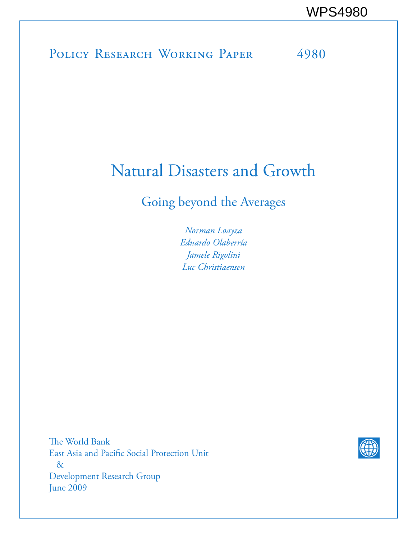# POLICY RESEARCH WORKING PAPER 4980

# Natural Disasters and Growth

# Going beyond the Averages

*Norman Loayza Eduardo Olaberría Jamele Rigolini Luc Christiaensen*

The World Bank East Asia and Pacific Social Protection Unit & Development Research Group June 2009

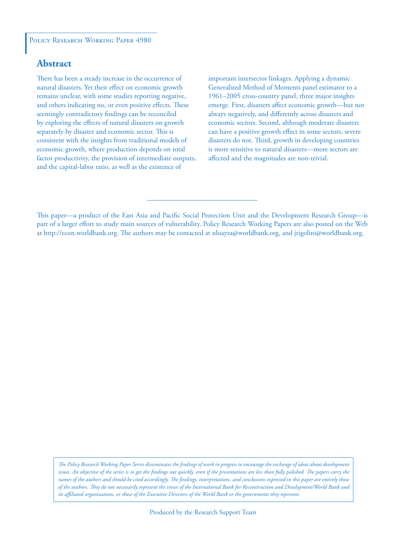#### POLICY RESEARCH WORKING PAPER 4980

### **Abstract**

There has been a steady increase in the occurrence of natural disasters. Yet their effect on economic growth remains unclear, with some studies reporting negative, and others indicating no, or even positive effects. These seemingly contradictory findings can be reconciled by exploring the effects of natural disasters on growth separately by disaster and economic sector. This is consistent with the insights from traditional models of economic growth, where production depends on total factor productivity, the provision of intermediate outputs, and the capital-labor ratio, as well as the existence of

important intersector linkages. Applying a dynamic Generalized Method of Moments panel estimator to a 1961–2005 cross-country panel, three major insights emerge. First, disasters affect economic growth—but not always negatively, and differently across disasters and economic sectors. Second, although moderate disasters can have a positive growth effect in some sectors, severe disasters do not. Third, growth in developing countries is more sensitive to natural disasters—more sectors are affected and the magnitudes are non-trivial.

This paper—a product of the East Asia and Pacific Social Protection Unit and the Development Research Group—is part of a larger effort to study main sources of vulnerability. Policy Research Working Papers are also posted on the Web at http://econ.worldbank.org. The authors may be contacted at nloayza@worldbank.org, and jrigolini@worldbank.org.

*The Policy Research Working Paper Series disseminates the findings of work in progress to encourage the exchange of ideas about development*  issues. An objective of the series is to get the findings out quickly, even if the presentations are less than fully polished. The papers carry the *names of the authors and should be cited accordingly. The findings, interpretations, and conclusions expressed in this paper are entirely those of the authors. They do not necessarily represent the views of the International Bank for Reconstruction and Development/World Bank and its affiliated organizations, or those of the Executive Directors of the World Bank or the governments they represent.*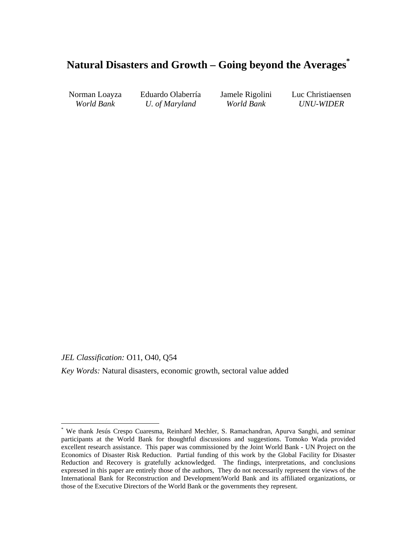## **Natural Disasters and Growth – Going beyond the Averages\***

Norman Loayza Eduardo Olaberría Jamele Rigolini Luc Christiaensen *World Bank U. of Maryland World Bank UNU-WIDER* 

*JEL Classification:* O11, O40, Q54

 $\overline{a}$ 

*Key Words:* Natural disasters, economic growth, sectoral value added

<sup>\*</sup> We thank Jesús Crespo Cuaresma, Reinhard Mechler, S. Ramachandran, Apurva Sanghi, and seminar participants at the World Bank for thoughtful discussions and suggestions. Tomoko Wada provided excellent research assistance. This paper was commissioned by the Joint World Bank - UN Project on the Economics of Disaster Risk Reduction. Partial funding of this work by the Global Facility for Disaster Reduction and Recovery is gratefully acknowledged. The findings, interpretations, and conclusions expressed in this paper are entirely those of the authors, They do not necessarily represent the views of the International Bank for Reconstruction and Development/World Bank and its affiliated organizations, or those of the Executive Directors of the World Bank or the governments they represent.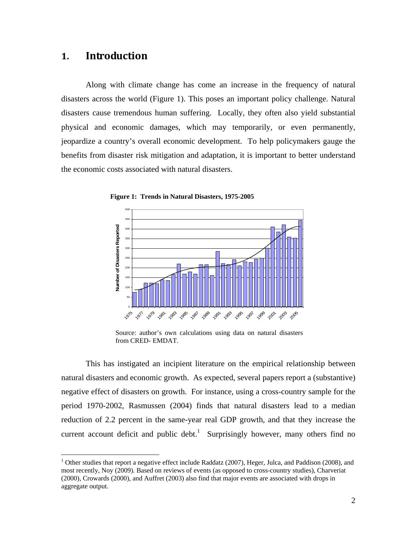### **1. Introduction**

 $\overline{a}$ 

Along with climate change has come an increase in the frequency of natural disasters across the world (Figure 1). This poses an important policy challenge. Natural disasters cause tremendous human suffering. Locally, they often also yield substantial physical and economic damages, which may temporarily, or even permanently, jeopardize a country's overall economic development. To help policymakers gauge the benefits from disaster risk mitigation and adaptation, it is important to better understand the economic costs associated with natural disasters.





Source: author's own calculations using data on natural disasters from CRED- EMDAT.

This has instigated an incipient literature on the empirical relationship between natural disasters and economic growth. As expected, several papers report a (substantive) negative effect of disasters on growth. For instance, using a cross-country sample for the period 1970-2002, Rasmussen (2004) finds that natural disasters lead to a median reduction of 2.2 percent in the same-year real GDP growth, and that they increase the current account deficit and public debt.<sup>1</sup> Surprisingly however, many others find no

<sup>&</sup>lt;sup>1</sup> Other studies that report a negative effect include Raddatz (2007), Heger, Julca, and Paddison (2008), and most recently, Noy (2009). Based on reviews of events (as opposed to cross-country studies), Charveriat (2000), Crowards (2000), and Auffret (2003) also find that major events are associated with drops in aggregate output.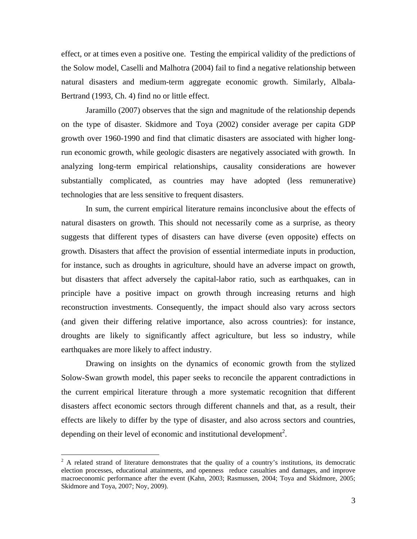effect, or at times even a positive one. Testing the empirical validity of the predictions of the Solow model, Caselli and Malhotra (2004) fail to find a negative relationship between natural disasters and medium-term aggregate economic growth. Similarly, Albala-Bertrand (1993, Ch. 4) find no or little effect.

Jaramillo (2007) observes that the sign and magnitude of the relationship depends on the type of disaster. Skidmore and Toya (2002) consider average per capita GDP growth over 1960-1990 and find that climatic disasters are associated with higher longrun economic growth, while geologic disasters are negatively associated with growth. In analyzing long-term empirical relationships, causality considerations are however substantially complicated, as countries may have adopted (less remunerative) technologies that are less sensitive to frequent disasters.

In sum, the current empirical literature remains inconclusive about the effects of natural disasters on growth. This should not necessarily come as a surprise, as theory suggests that different types of disasters can have diverse (even opposite) effects on growth. Disasters that affect the provision of essential intermediate inputs in production, for instance, such as droughts in agriculture, should have an adverse impact on growth, but disasters that affect adversely the capital-labor ratio, such as earthquakes, can in principle have a positive impact on growth through increasing returns and high reconstruction investments. Consequently, the impact should also vary across sectors (and given their differing relative importance, also across countries): for instance, droughts are likely to significantly affect agriculture, but less so industry, while earthquakes are more likely to affect industry.

Drawing on insights on the dynamics of economic growth from the stylized Solow-Swan growth model, this paper seeks to reconcile the apparent contradictions in the current empirical literature through a more systematic recognition that different disasters affect economic sectors through different channels and that, as a result, their effects are likely to differ by the type of disaster, and also across sectors and countries, depending on their level of economic and institutional development<sup>2</sup>.

 $\overline{a}$ 

 $2^2$  A related strand of literature demonstrates that the quality of a country's institutions, its democratic election processes, educational attainments, and openness reduce casualties and damages, and improve macroeconomic performance after the event (Kahn, 2003; Rasmussen, 2004; Toya and Skidmore, 2005; Skidmore and Toya, 2007; Noy, 2009).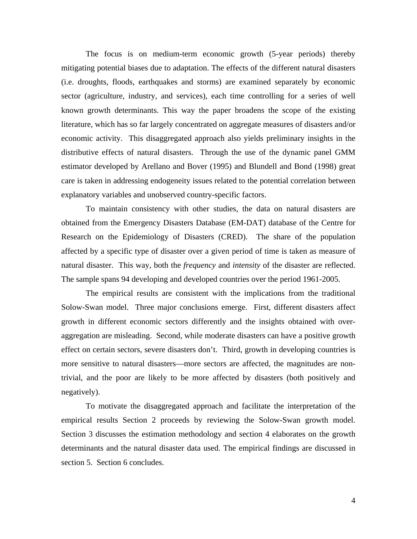The focus is on medium-term economic growth (5-year periods) thereby mitigating potential biases due to adaptation. The effects of the different natural disasters (i.e. droughts, floods, earthquakes and storms) are examined separately by economic sector (agriculture, industry, and services), each time controlling for a series of well known growth determinants. This way the paper broadens the scope of the existing literature, which has so far largely concentrated on aggregate measures of disasters and/or economic activity. This disaggregated approach also yields preliminary insights in the distributive effects of natural disasters. Through the use of the dynamic panel GMM estimator developed by Arellano and Bover (1995) and Blundell and Bond (1998) great care is taken in addressing endogeneity issues related to the potential correlation between explanatory variables and unobserved country-specific factors.

To maintain consistency with other studies, the data on natural disasters are obtained from the Emergency Disasters Database (EM-DAT) database of the Centre for Research on the Epidemiology of Disasters (CRED). The share of the population affected by a specific type of disaster over a given period of time is taken as measure of natural disaster. This way, both the *frequency* and *intensity* of the disaster are reflected. The sample spans 94 developing and developed countries over the period 1961-2005.

The empirical results are consistent with the implications from the traditional Solow-Swan model. Three major conclusions emerge. First, different disasters affect growth in different economic sectors differently and the insights obtained with overaggregation are misleading. Second, while moderate disasters can have a positive growth effect on certain sectors, severe disasters don't. Third, growth in developing countries is more sensitive to natural disasters—more sectors are affected, the magnitudes are nontrivial, and the poor are likely to be more affected by disasters (both positively and negatively).

To motivate the disaggregated approach and facilitate the interpretation of the empirical results Section 2 proceeds by reviewing the Solow-Swan growth model. Section 3 discusses the estimation methodology and section 4 elaborates on the growth determinants and the natural disaster data used. The empirical findings are discussed in section 5. Section 6 concludes.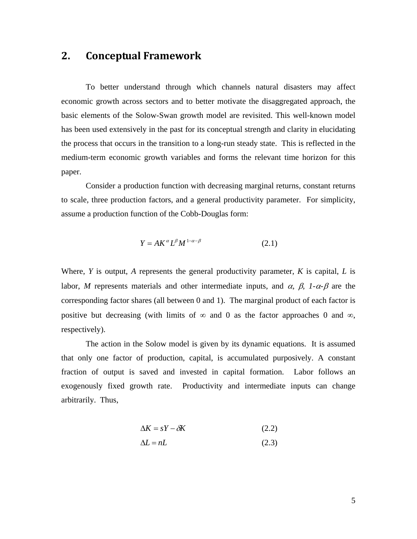### **2. Conceptual Framework**

 To better understand through which channels natural disasters may affect economic growth across sectors and to better motivate the disaggregated approach, the basic elements of the Solow-Swan growth model are revisited. This well-known model has been used extensively in the past for its conceptual strength and clarity in elucidating the process that occurs in the transition to a long-run steady state. This is reflected in the medium-term economic growth variables and forms the relevant time horizon for this paper.

 Consider a production function with decreasing marginal returns, constant returns to scale, three production factors, and a general productivity parameter. For simplicity, assume a production function of the Cobb-Douglas form:

$$
Y = AK^{\alpha}L^{\beta}M^{1-\alpha-\beta} \tag{2.1}
$$

Where, *Y* is output, *A* represents the general productivity parameter, *K* is capital, *L* is labor, *M* represents materials and other intermediate inputs, and  $\alpha$ ,  $\beta$ ,  $1-\alpha-\beta$  are the corresponding factor shares (all between 0 and 1). The marginal product of each factor is positive but decreasing (with limits of  $\infty$  and 0 as the factor approaches 0 and  $\infty$ , respectively).

 The action in the Solow model is given by its dynamic equations. It is assumed that only one factor of production, capital, is accumulated purposively. A constant fraction of output is saved and invested in capital formation. Labor follows an exogenously fixed growth rate. Productivity and intermediate inputs can change arbitrarily. Thus,

$$
\Delta K = sY - \delta K \tag{2.2}
$$

$$
\Delta L = nL \tag{2.3}
$$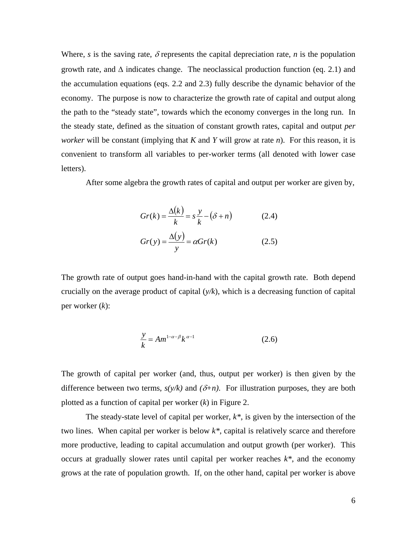Where, *s* is the saving rate,  $\delta$  represents the capital depreciation rate, *n* is the population growth rate, and  $\Delta$  indicates change. The neoclassical production function (eq. 2.1) and the accumulation equations (eqs. 2.2 and 2.3) fully describe the dynamic behavior of the economy. The purpose is now to characterize the growth rate of capital and output along the path to the "steady state", towards which the economy converges in the long run. In the steady state, defined as the situation of constant growth rates, capital and output *per worker* will be constant (implying that *K* and *Y* will grow at rate *n*). For this reason, it is convenient to transform all variables to per-worker terms (all denoted with lower case letters).

After some algebra the growth rates of capital and output per worker are given by,

$$
Gr(k) = \frac{\Delta(k)}{k} = s\frac{y}{k} - (\delta + n)
$$
 (2.4)  

$$
Gr(y) = \frac{\Delta(y)}{y} = \alpha Gr(k)
$$
 (2.5)

The growth rate of output goes hand-in-hand with the capital growth rate. Both depend crucially on the average product of capital (*y/k*), which is a decreasing function of capital per worker (*k*):

$$
\frac{y}{k} = Am^{1-\alpha-\beta}k^{\alpha-1}
$$
 (2.6)

The growth of capital per worker (and, thus, output per worker) is then given by the difference between two terms,  $s(y/k)$  and  $(\delta+n)$ . For illustration purposes, they are both plotted as a function of capital per worker (*k*) in Figure 2.

The steady-state level of capital per worker, *k\**, is given by the intersection of the two lines. When capital per worker is below *k\**, capital is relatively scarce and therefore more productive, leading to capital accumulation and output growth (per worker). This occurs at gradually slower rates until capital per worker reaches *k\**, and the economy grows at the rate of population growth. If, on the other hand, capital per worker is above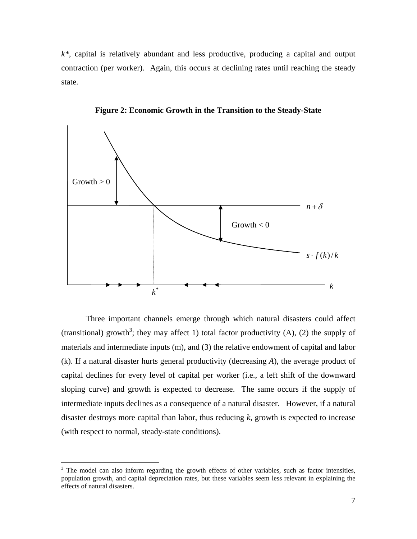*k\**, capital is relatively abundant and less productive, producing a capital and output contraction (per worker). Again, this occurs at declining rates until reaching the steady state.



**Figure 2: Economic Growth in the Transition to the Steady-State** 

 Three important channels emerge through which natural disasters could affect (transitional) growth<sup>3</sup>; they may affect 1) total factor productivity (A), (2) the supply of materials and intermediate inputs (m), and (3) the relative endowment of capital and labor (k). If a natural disaster hurts general productivity (decreasing *A*), the average product of capital declines for every level of capital per worker (i.e., a left shift of the downward sloping curve) and growth is expected to decrease. The same occurs if the supply of intermediate inputs declines as a consequence of a natural disaster. However, if a natural disaster destroys more capital than labor, thus reducing *k*, growth is expected to increase (with respect to normal, steady-state conditions).

 $\overline{a}$ 

 $3$  The model can also inform regarding the growth effects of other variables, such as factor intensities, population growth, and capital depreciation rates, but these variables seem less relevant in explaining the effects of natural disasters.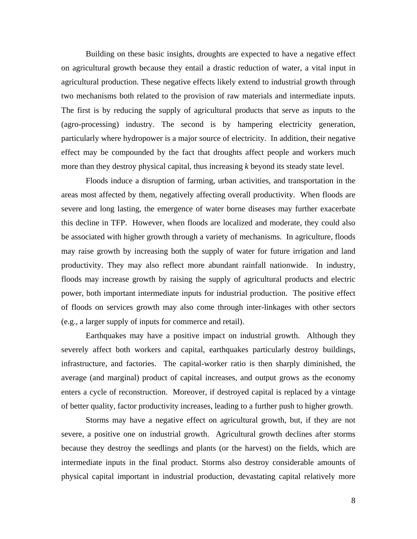Building on these basic insights, droughts are expected to have a negative effect on agricultural growth because they entail a drastic reduction of water, a vital input in agricultural production. These negative effects likely extend to industrial growth through two mechanisms both related to the provision of raw materials and intermediate inputs. The first is by reducing the supply of agricultural products that serve as inputs to the (agro-processing) industry. The second is by hampering electricity generation, particularly where hydropower is a major source of electricity. In addition, their negative effect may be compounded by the fact that droughts affect people and workers much more than they destroy physical capital, thus increasing *k* beyond its steady state level.

 Floods induce a disruption of farming, urban activities, and transportation in the areas most affected by them, negatively affecting overall productivity. When floods are severe and long lasting, the emergence of water borne diseases may further exacerbate this decline in TFP. However, when floods are localized and moderate, they could also be associated with higher growth through a variety of mechanisms. In agriculture, floods may raise growth by increasing both the supply of water for future irrigation and land productivity. They may also reflect more abundant rainfall nationwide. In industry, floods may increase growth by raising the supply of agricultural products and electric power, both important intermediate inputs for industrial production. The positive effect of floods on services growth may also come through inter-linkages with other sectors (e.g., a larger supply of inputs for commerce and retail).

 Earthquakes may have a positive impact on industrial growth. Although they severely affect both workers and capital, earthquakes particularly destroy buildings, infrastructure, and factories. The capital-worker ratio is then sharply diminished, the average (and marginal) product of capital increases, and output grows as the economy enters a cycle of reconstruction. Moreover, if destroyed capital is replaced by a vintage of better quality, factor productivity increases, leading to a further push to higher growth.

 Storms may have a negative effect on agricultural growth, but, if they are not severe, a positive one on industrial growth. Agricultural growth declines after storms because they destroy the seedlings and plants (or the harvest) on the fields, which are intermediate inputs in the final product. Storms also destroy considerable amounts of physical capital important in industrial production, devastating capital relatively more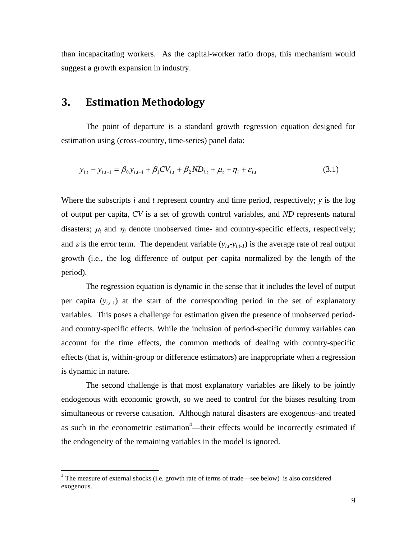than incapacitating workers. As the capital-worker ratio drops, this mechanism would suggest a growth expansion in industry.

### **3. Estimation Methodology**

The point of departure is a standard growth regression equation designed for estimation using (cross-country, time-series) panel data:

$$
y_{i,t} - y_{i,t-1} = \beta_0 y_{i,t-1} + \beta_1 CV_{i,t} + \beta_2 ND_{i,t} + \mu_t + \eta_i + \varepsilon_{i,t}
$$
(3.1)

Where the subscripts *i* and *t* represent country and time period, respectively; *y* is the log of output per capita, *CV* is a set of growth control variables, and *ND* represents natural disasters;  $\mu_t$  and  $\eta_i$  denote unobserved time- and country-specific effects, respectively; and  $\varepsilon$  is the error term. The dependent variable  $(y_{i,t} - y_{i,t-1})$  is the average rate of real output growth (i.e., the log difference of output per capita normalized by the length of the period).

The regression equation is dynamic in the sense that it includes the level of output per capita  $(y_{i,t-1})$  at the start of the corresponding period in the set of explanatory variables. This poses a challenge for estimation given the presence of unobserved periodand country-specific effects. While the inclusion of period-specific dummy variables can account for the time effects, the common methods of dealing with country-specific effects (that is, within-group or difference estimators) are inappropriate when a regression is dynamic in nature.

The second challenge is that most explanatory variables are likely to be jointly endogenous with economic growth, so we need to control for the biases resulting from simultaneous or reverse causation. Although natural disasters are exogenous–and treated as such in the econometric estimation<sup>4</sup>—their effects would be incorrectly estimated if the endogeneity of the remaining variables in the model is ignored.

 $\overline{a}$ 

<sup>&</sup>lt;sup>4</sup> The measure of external shocks (i.e. growth rate of terms of trade—see below) is also considered exogenous.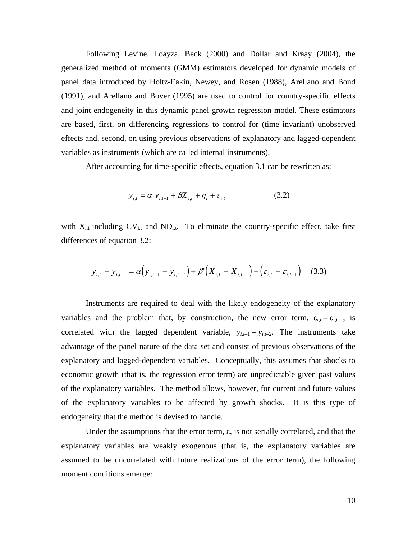Following Levine, Loayza, Beck (2000) and Dollar and Kraay (2004), the generalized method of moments (GMM) estimators developed for dynamic models of panel data introduced by Holtz-Eakin, Newey, and Rosen (1988), Arellano and Bond (1991), and Arellano and Bover (1995) are used to control for country-specific effects and joint endogeneity in this dynamic panel growth regression model. These estimators are based, first, on differencing regressions to control for (time invariant) unobserved effects and, second, on using previous observations of explanatory and lagged-dependent variables as instruments (which are called internal instruments).

After accounting for time-specific effects, equation 3.1 can be rewritten as:

$$
y_{i,t} = \alpha y_{i,t-1} + \beta X_{i,t} + \eta_i + \varepsilon_{i,t}
$$
 (3.2)

with  $X_{i,t}$  including  $CV_{i,t}$  and  $ND_{i,t}$ . To eliminate the country-specific effect, take first differences of equation 3.2:

$$
y_{i,t} - y_{i,t-1} = \alpha \Big( y_{i,t-1} - y_{i,t-2} \Big) + \beta' \Big( X_{i,t} - X_{i,t-1} \Big) + \Big( \varepsilon_{i,t} - \varepsilon_{i,t-1} \Big) \tag{3.3}
$$

 Instruments are required to deal with the likely endogeneity of the explanatory variables and the problem that, by construction, the new error term,  $\varepsilon_{i,t} - \varepsilon_{i,t-1}$ , is correlated with the lagged dependent variable,  $y_{i,t-1} - y_{i,t-2}$ . The instruments take advantage of the panel nature of the data set and consist of previous observations of the explanatory and lagged-dependent variables. Conceptually, this assumes that shocks to economic growth (that is, the regression error term) are unpredictable given past values of the explanatory variables. The method allows, however, for current and future values of the explanatory variables to be affected by growth shocks. It is this type of endogeneity that the method is devised to handle.

Under the assumptions that the error term,  $\varepsilon$ , is not serially correlated, and that the explanatory variables are weakly exogenous (that is, the explanatory variables are assumed to be uncorrelated with future realizations of the error term), the following moment conditions emerge: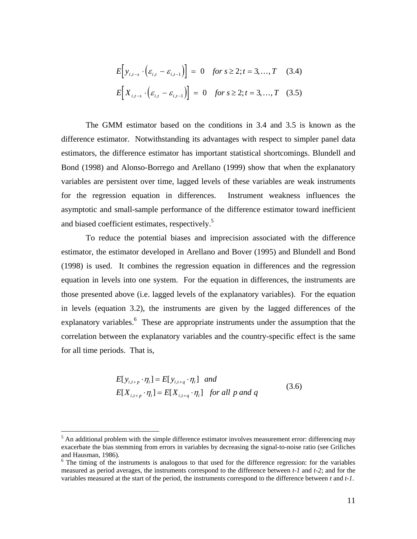$$
E[y_{i,t-s} \cdot (\varepsilon_{i,t} - \varepsilon_{i,t-1})] = 0 \quad \text{for } s \ge 2; t = 3, ..., T \quad (3.4)
$$
  

$$
E[X_{i,t-s} \cdot (\varepsilon_{i,t} - \varepsilon_{i,t-1})] = 0 \quad \text{for } s \ge 2; t = 3, ..., T \quad (3.5)
$$

 The GMM estimator based on the conditions in 3.4 and 3.5 is known as the difference estimator. Notwithstanding its advantages with respect to simpler panel data estimators, the difference estimator has important statistical shortcomings. Blundell and Bond (1998) and Alonso-Borrego and Arellano (1999) show that when the explanatory variables are persistent over time, lagged levels of these variables are weak instruments for the regression equation in differences. Instrument weakness influences the asymptotic and small-sample performance of the difference estimator toward inefficient and biased coefficient estimates, respectively.<sup>5</sup>

 To reduce the potential biases and imprecision associated with the difference estimator, the estimator developed in Arellano and Bover (1995) and Blundell and Bond (1998) is used. It combines the regression equation in differences and the regression equation in levels into one system. For the equation in differences, the instruments are those presented above (i.e. lagged levels of the explanatory variables). For the equation in levels (equation 3.2), the instruments are given by the lagged differences of the explanatory variables.<sup>6</sup> These are appropriate instruments under the assumption that the correlation between the explanatory variables and the country-specific effect is the same for all time periods. That is,

$$
E[y_{i,t+p} \cdot \eta_i] = E[y_{i,t+q} \cdot \eta_i] \quad and
$$
  
\n
$$
E[X_{i,t+p} \cdot \eta_i] = E[X_{i,t+q} \cdot \eta_i] \quad \text{for all } p \text{ and } q
$$
 (3.6)

<u>.</u>

 $<sup>5</sup>$  An additional problem with the simple difference estimator involves measurement error: differencing may</sup> exacerbate the bias stemming from errors in variables by decreasing the signal-to-noise ratio (see Griliches and Hausman, 1986).

 $6$  The timing of the instruments is analogous to that used for the difference regression: for the variables measured as period averages, the instruments correspond to the difference between *t-1* and *t-2*; and for the variables measured at the start of the period, the instruments correspond to the difference between *t* and *t-1*.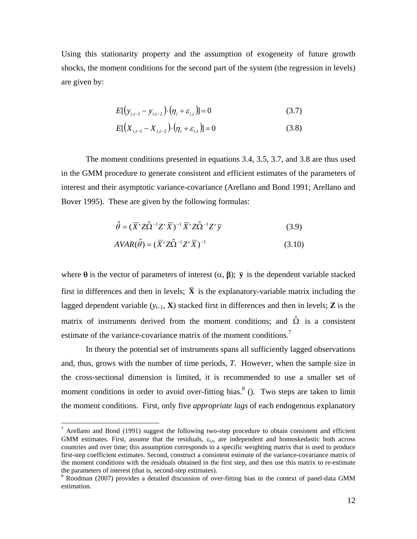Using this stationarity property and the assumption of exogeneity of future growth shocks, the moment conditions for the second part of the system (the regression in levels) are given by:

$$
E[(y_{i,t-1} - y_{i,t-2}) \cdot (\eta_i + \varepsilon_{i,t})] = 0
$$
\n(3.7)

$$
E[(X_{i,t-1} - X_{i,t-2}) \cdot (\eta_i + \varepsilon_{i,t})] = 0
$$
\n(3.8)

 The moment conditions presented in equations 3.4, 3.5, 3.7, and 3.8 are thus used in the GMM procedure to generate consistent and efficient estimates of the parameters of interest and their asymptotic variance-covariance (Arellano and Bond 1991; Arellano and Bover 1995). These are given by the following formulas:

$$
\hat{\theta} = (\overline{X}^{\prime} Z \hat{\Omega}^{-1} Z^{\prime} \overline{X})^{-1} \overline{X}^{\prime} Z \hat{\Omega}^{-1} Z^{\prime} \overline{y}
$$
(3.9)

$$
AVAR(\hat{\theta}) = (\overline{X}^{\top}Z\hat{\Omega}^{-1}Z^{\top}\overline{X})^{-1}
$$
\n(3.10)

where  $\theta$  is the vector of parameters of interest  $(\alpha, \beta)$ ;  $\overline{y}$  is the dependent variable stacked first in differences and then in levels;  $\bar{\mathbf{X}}$  is the explanatory-variable matrix including the lagged dependent variable  $(y_{t-1}, \mathbf{X})$  stacked first in differences and then in levels; **Z** is the matrix of instruments derived from the moment conditions; and  $\hat{\Omega}$  is a consistent estimate of the variance-covariance matrix of the moment conditions.<sup>7</sup>

In theory the potential set of instruments spans all sufficiently lagged observations and, thus, grows with the number of time periods, *T*. However, when the sample size in the cross-sectional dimension is limited, it is recommended to use a smaller set of moment conditions in order to avoid over-fitting bias.<sup>8</sup> (). Two steps are taken to limit the moment conditions. First, only five *appropriate lags* of each endogenous explanatory

 $\overline{a}$ 

 $<sup>7</sup>$  Arellano and Bond (1991) suggest the following two-step procedure to obtain consistent and efficient</sup> GMM estimates. First, assume that the residuals,  $\varepsilon_{i,t}$ , are independent and homoskedastic both across countries and over time; this assumption corresponds to a specific weighting matrix that is used to produce first-step coefficient estimates. Second, construct a consistent estimate of the variance-covariance matrix of the moment conditions with the residuals obtained in the first step, and then use this matrix to re-estimate the parameters of interest (that is, second-step estimates).

<sup>&</sup>lt;sup>8</sup> Roodman (2007) provides a detailed discussion of over-fitting bias in the context of panel-data GMM estimation.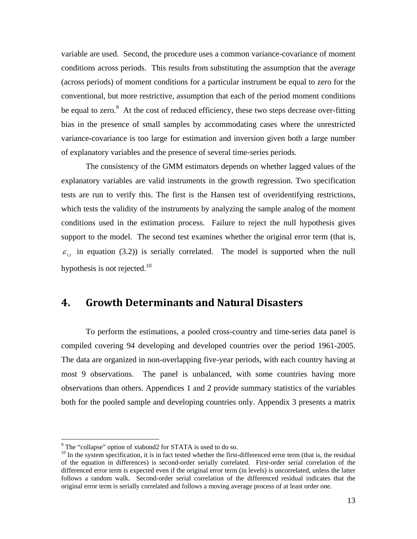variable are used. Second, the procedure uses a common variance-covariance of moment conditions across periods. This results from substituting the assumption that the average (across periods) of moment conditions for a particular instrument be equal to zero for the conventional, but more restrictive, assumption that each of the period moment conditions be equal to zero. $9$  At the cost of reduced efficiency, these two steps decrease over-fitting bias in the presence of small samples by accommodating cases where the unrestricted variance-covariance is too large for estimation and inversion given both a large number of explanatory variables and the presence of several time-series periods.

 The consistency of the GMM estimators depends on whether lagged values of the explanatory variables are valid instruments in the growth regression. Two specification tests are run to verify this. The first is the Hansen test of overidentifying restrictions, which tests the validity of the instruments by analyzing the sample analog of the moment conditions used in the estimation process. Failure to reject the null hypothesis gives support to the model. The second test examines whether the original error term (that is,  $\varepsilon$ <sub>i</sub>, in equation (3.2)) is serially correlated. The model is supported when the null hypothesis is not rejected. $10$ 

### **4. Growth Determinants and Natural Disasters**

To perform the estimations, a pooled cross-country and time-series data panel is compiled covering 94 developing and developed countries over the period 1961-2005. The data are organized in non-overlapping five-year periods, with each country having at most 9 observations. The panel is unbalanced, with some countries having more observations than others. Appendices 1 and 2 provide summary statistics of the variables both for the pooled sample and developing countries only. Appendix 3 presents a matrix

 $\overline{a}$ 

<sup>&</sup>lt;sup>9</sup> The "collapse" option of xtabond2 for STATA is used to do so.

<sup>&</sup>lt;sup>10</sup> In the system specification, it is in fact tested whether the first-differenced error term (that is, the residual of the equation in differences) is second-order serially correlated. First-order serial correlation of the differenced error term is expected even if the original error term (in levels) is uncorrelated, unless the latter follows a random walk. Second-order serial correlation of the differenced residual indicates that the original error term is serially correlated and follows a moving average process of at least order one.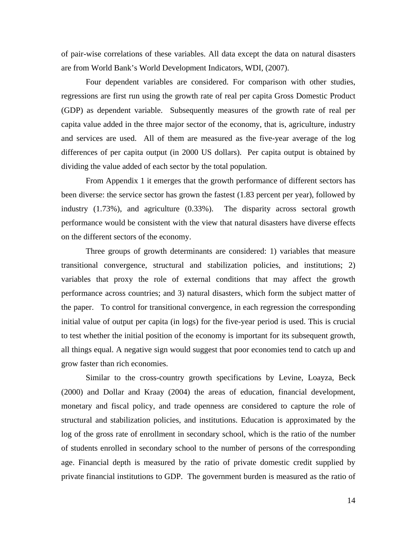of pair-wise correlations of these variables. All data except the data on natural disasters are from World Bank's World Development Indicators, WDI, (2007).

Four dependent variables are considered. For comparison with other studies, regressions are first run using the growth rate of real per capita Gross Domestic Product (GDP) as dependent variable. Subsequently measures of the growth rate of real per capita value added in the three major sector of the economy, that is, agriculture, industry and services are used. All of them are measured as the five-year average of the log differences of per capita output (in 2000 US dollars). Per capita output is obtained by dividing the value added of each sector by the total population.

From Appendix 1 it emerges that the growth performance of different sectors has been diverse: the service sector has grown the fastest (1.83 percent per year), followed by industry (1.73%), and agriculture (0.33%). The disparity across sectoral growth performance would be consistent with the view that natural disasters have diverse effects on the different sectors of the economy.

Three groups of growth determinants are considered: 1) variables that measure transitional convergence, structural and stabilization policies, and institutions; 2) variables that proxy the role of external conditions that may affect the growth performance across countries; and 3) natural disasters, which form the subject matter of the paper. To control for transitional convergence, in each regression the corresponding initial value of output per capita (in logs) for the five-year period is used. This is crucial to test whether the initial position of the economy is important for its subsequent growth, all things equal. A negative sign would suggest that poor economies tend to catch up and grow faster than rich economies.

Similar to the cross-country growth specifications by Levine, Loayza, Beck (2000) and Dollar and Kraay (2004) the areas of education, financial development, monetary and fiscal policy, and trade openness are considered to capture the role of structural and stabilization policies, and institutions. Education is approximated by the log of the gross rate of enrollment in secondary school, which is the ratio of the number of students enrolled in secondary school to the number of persons of the corresponding age. Financial depth is measured by the ratio of private domestic credit supplied by private financial institutions to GDP. The government burden is measured as the ratio of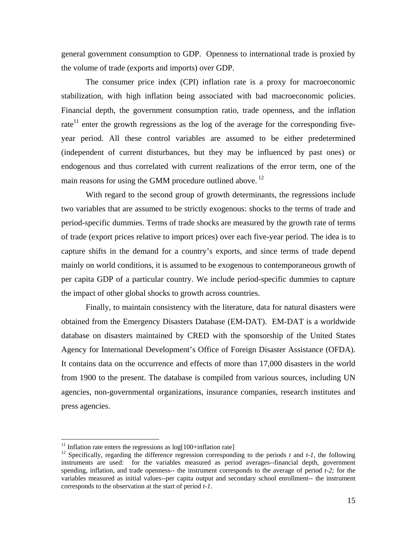general government consumption to GDP. Openness to international trade is proxied by the volume of trade (exports and imports) over GDP.

The consumer price index (CPI) inflation rate is a proxy for macroeconomic stabilization, with high inflation being associated with bad macroeconomic policies. Financial depth, the government consumption ratio, trade openness, and the inflation rate<sup>11</sup> enter the growth regressions as the log of the average for the corresponding fiveyear period. All these control variables are assumed to be either predetermined (independent of current disturbances, but they may be influenced by past ones) or endogenous and thus correlated with current realizations of the error term, one of the main reasons for using the GMM procedure outlined above.  $^{12}$ 

With regard to the second group of growth determinants, the regressions include two variables that are assumed to be strictly exogenous: shocks to the terms of trade and period-specific dummies. Terms of trade shocks are measured by the growth rate of terms of trade (export prices relative to import prices) over each five-year period. The idea is to capture shifts in the demand for a country's exports, and since terms of trade depend mainly on world conditions, it is assumed to be exogenous to contemporaneous growth of per capita GDP of a particular country. We include period-specific dummies to capture the impact of other global shocks to growth across countries.

Finally, to maintain consistency with the literature, data for natural disasters were obtained from the Emergency Disasters Database (EM-DAT). EM-DAT is a worldwide database on disasters maintained by CRED with the sponsorship of the United States Agency for International Development's Office of Foreign Disaster Assistance (OFDA). It contains data on the occurrence and effects of more than 17,000 disasters in the world from 1900 to the present. The database is compiled from various sources, including UN agencies, non-governmental organizations, insurance companies, research institutes and press agencies.

 $\overline{a}$ 

 $11$  Inflation rate enters the regressions as  $log[100+inflation\ rate]$ 

<sup>12</sup> Specifically, regarding the difference regression corresponding to the periods *t* and *t-1*, the following instruments are used: for the variables measured as period averages--financial depth, government spending, inflation, and trade openness-- the instrument corresponds to the average of period *t-2;* for the variables measured as initial values--per capita output and secondary school enrollment-- the instrument corresponds to the observation at the start of period *t-1*.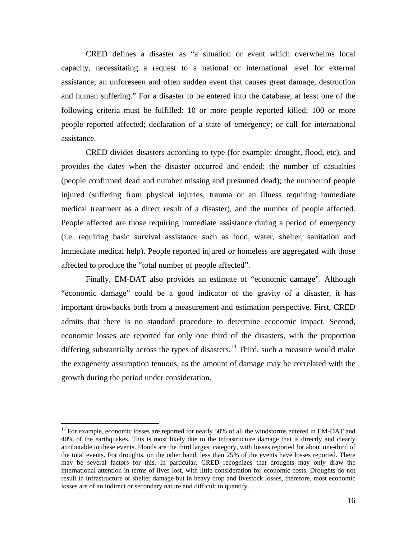CRED defines a disaster as "a situation or event which overwhelms local capacity, necessitating a request to a national or international level for external assistance; an unforeseen and often sudden event that causes great damage, destruction and human suffering." For a disaster to be entered into the database, at least one of the following criteria must be fulfilled: 10 or more people reported killed; 100 or more people reported affected; declaration of a state of emergency; or call for international assistance.

CRED divides disasters according to type (for example: drought, flood, etc), and provides the dates when the disaster occurred and ended; the number of casualties (people confirmed dead and number missing and presumed dead); the number of people injured (suffering from physical injuries, trauma or an illness requiring immediate medical treatment as a direct result of a disaster), and the number of people affected. People affected are those requiring immediate assistance during a period of emergency (i.e. requiring basic survival assistance such as food, water, shelter, sanitation and immediate medical help). People reported injured or homeless are aggregated with those affected to produce the "total number of people affected".

Finally, EM-DAT also provides an estimate of "economic damage". Although "economic damage" could be a good indicator of the gravity of a disaster, it has important drawbacks both from a measurement and estimation perspective. First, CRED admits that there is no standard procedure to determine economic impact. Second, economic losses are reported for only one third of the disasters, with the proportion differing substantially across the types of disasters.<sup>13</sup> Third, such a measure would make the exogeneity assumption tenuous, as the amount of damage may be correlated with the growth during the period under consideration.

 $\overline{a}$ 

<sup>&</sup>lt;sup>13</sup> For example, economic losses are reported for nearly 50% of all the windstorms entered in EM-DAT and 40% of the earthquakes. This is most likely due to the infrastructure damage that is directly and clearly attributable to these events. Floods are the third largest category, with losses reported for about one-third of the total events. For droughts, on the other hand, less than 25% of the events have losses reported. There may be several factors for this. In particular, CRED recognizes that droughts may only draw the international attention in terms of lives lost, with little consideration for economic costs. Droughts do not result in infrastructure or shelter damage but in heavy crop and livestock losses, therefore, most economic losses are of an indirect or secondary nature and difficult to quantify.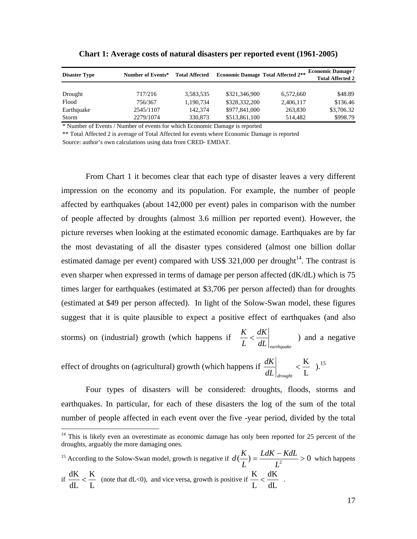| <b>Disaster Type</b> | Number of Events* | <b>Total Affected</b> | <b>Economic Damage Total Affected 2**</b> |           | <b>Economic Damage /</b><br><b>Total Affected 2</b> |  |  |
|----------------------|-------------------|-----------------------|-------------------------------------------|-----------|-----------------------------------------------------|--|--|
| Drought              | 717/216           | 3,583,535             | \$321,346,900                             | 6,572,660 | \$48.89                                             |  |  |
| Flood                | 756/367           | 1.190.734             | \$328,332,200                             | 2,406,117 | \$136.46                                            |  |  |
| Earthquake           | 2545/1107         | 142,374               | \$977,841,000                             | 263.830   | \$3,706.32                                          |  |  |
| Storm                | 2279/1074         | 330,873               | \$513,861,100                             | 514.482   | \$998.79                                            |  |  |

**Chart 1: Average costs of natural disasters per reported event (1961-2005)** 

\* Number of Events / Number of events for which Economic Damage is reported

\*\* Total Affected 2 is average of Total Affected for events where Economic Damage is reported

Source: author's own calculations using data from CRED- EMDAT.

 $\overline{a}$ 

From Chart 1 it becomes clear that each type of disaster leaves a very different impression on the economy and its population. For example, the number of people affected by earthquakes (about 142,000 per event) pales in comparison with the number of people affected by droughts (almost 3.6 million per reported event). However, the picture reverses when looking at the estimated economic damage. Earthquakes are by far the most devastating of all the disaster types considered (almost one billion dollar estimated damage per event) compared with US\$ 321,000 per drought<sup>14</sup>. The contrast is even sharper when expressed in terms of damage per person affected (dK/dL) which is 75 times larger for earthquakes (estimated at \$3,706 per person affected) than for droughts (estimated at \$49 per person affected). In light of the Solow-Swan model, these figures suggest that it is quite plausible to expect a positive effect of earthquakes (and also storms) on (industrial) growth (which happens if  $\frac{K}{L} < \frac{dK}{dL}\Big|_{\text{earthquake}}$ *L*  $\frac{K}{K} < \frac{dK}{K}$  ) and a negative

effect of droughts on (agricultural) growth (which happens if L  $\lt \frac{K}{I}$ *dL drought*  $\frac{dK}{dt}$   $\lt \frac{K}{t}$   $\lt \frac{15}{t}$ 

Four types of disasters will be considered: droughts, floods, storms and earthquakes. In particular, for each of these disasters the log of the sum of the total number of people affected in each event over the five -year period, divided by the total

<sup>15</sup> According to the Solow-Swan model, growth is negative if  $d\left(\frac{K}{L}\right) = \frac{L dK - K dL}{L^2} > 0$ *L*  $d\left(\frac{K}{s}\right) = \frac{LdK - KdL}{s^2} > 0$  which happens if  $\frac{dE}{dL} < \frac{1}{L}$ K dL  $\frac{dK}{dL} < \frac{K}{L}$  (note that dL<0), and vice versa, growth is positive if  $\frac{K}{L} < \frac{dK}{dL}$ L  $\frac{K}{I} < \frac{dK}{I}$ .

 $14$  This is likely even an overestimate as economic damage has only been reported for 25 percent of the droughts, arguably the more damaging ones.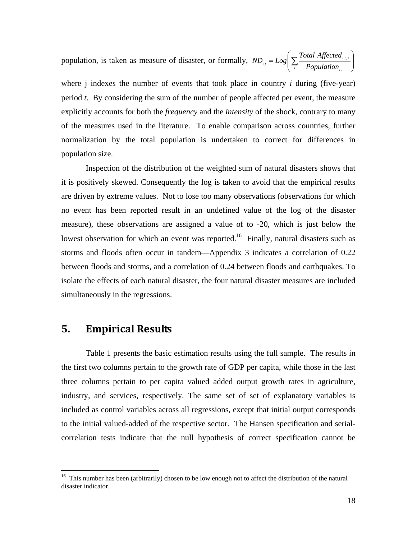population, is taken as measure of disaster, or formally,  $ND_{i,j} = Log \left[ \sum_{i} \frac{Total}{Population} \right]$ J  $\setminus$  $\overline{\phantom{a}}$  $I = Log \left( \sum_j \frac{Total \ Affected}{Population_{i,j}} \right)$  $i,t,j$  $\sum_{i,j}^{i,j}$  *Population*  $ND_{ij} = Log\left(\sum_{n=1}^{Total\ Affected}\right)$ , ,, ,

where *j* indexes the number of events that took place in country *i* during (five-year) period *t*. By considering the sum of the number of people affected per event, the measure explicitly accounts for both the *frequency* and the *intensity* of the shock, contrary to many of the measures used in the literature. To enable comparison across countries, further normalization by the total population is undertaken to correct for differences in population size.

Inspection of the distribution of the weighted sum of natural disasters shows that it is positively skewed. Consequently the log is taken to avoid that the empirical results are driven by extreme values. Not to lose too many observations (observations for which no event has been reported result in an undefined value of the log of the disaster measure), these observations are assigned a value of to -20, which is just below the lowest observation for which an event was reported.<sup>16</sup> Finally, natural disasters such as storms and floods often occur in tandem—Appendix 3 indicates a correlation of 0.22 between floods and storms, and a correlation of 0.24 between floods and earthquakes. To isolate the effects of each natural disaster, the four natural disaster measures are included simultaneously in the regressions.

### **5. Empirical Results**

 $\overline{a}$ 

 Table 1 presents the basic estimation results using the full sample. The results in the first two columns pertain to the growth rate of GDP per capita, while those in the last three columns pertain to per capita valued added output growth rates in agriculture, industry, and services, respectively. The same set of set of explanatory variables is included as control variables across all regressions, except that initial output corresponds to the initial valued-added of the respective sector. The Hansen specification and serialcorrelation tests indicate that the null hypothesis of correct specification cannot be

<sup>&</sup>lt;sup>16</sup> This number has been (arbitrarily) chosen to be low enough not to affect the distribution of the natural disaster indicator.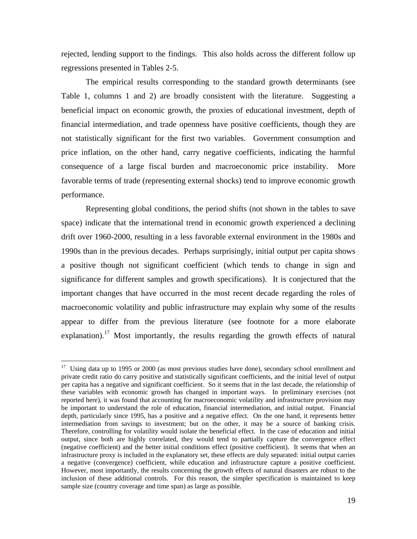rejected, lending support to the findings. This also holds across the different follow up regressions presented in Tables 2-5.

The empirical results corresponding to the standard growth determinants (see Table 1, columns 1 and 2) are broadly consistent with the literature. Suggesting a beneficial impact on economic growth, the proxies of educational investment, depth of financial intermediation, and trade openness have positive coefficients, though they are not statistically significant for the first two variables. Government consumption and price inflation, on the other hand, carry negative coefficients, indicating the harmful consequence of a large fiscal burden and macroeconomic price instability. More favorable terms of trade (representing external shocks) tend to improve economic growth performance.

Representing global conditions, the period shifts (not shown in the tables to save space) indicate that the international trend in economic growth experienced a declining drift over 1960-2000, resulting in a less favorable external environment in the 1980s and 1990s than in the previous decades. Perhaps surprisingly, initial output per capita shows a positive though not significant coefficient (which tends to change in sign and significance for different samples and growth specifications). It is conjectured that the important changes that have occurred in the most recent decade regarding the roles of macroeconomic volatility and public infrastructure may explain why some of the results appear to differ from the previous literature (see footnote for a more elaborate explanation).<sup>17</sup> Most importantly, the results regarding the growth effects of natural

1

 $17$  Using data up to 1995 or 2000 (as most previous studies have done), secondary school enrollment and private credit ratio do carry positive and statistically significant coefficients, and the initial level of output per capita has a negative and significant coefficient. So it seems that in the last decade, the relationship of these variables with economic growth has changed in important ways. In preliminary exercises (not reported here), it was found that accounting for macroeconomic volatility and infrastructure provision may be important to understand the role of education, financial intermediation, and initial output. Financial depth, particularly since 1995, has a positive and a negative effect. On the one hand, it represents better intermediation from savings to investment; but on the other, it may be a source of banking crisis. Therefore, controlling for volatility would isolate the beneficial effect. In the case of education and initial output, since both are highly correlated, they would tend to partially capture the convergence effect (negative coefficient) and the better initial conditions effect (positive coefficient). It seems that when an infrastructure proxy is included in the explanatory set, these effects are duly separated: initial output carries a negative (convergence) coefficient, while education and infrastructure capture a positive coefficient. However, most importantly, the results concerning the growth effects of natural disasters are robust to the inclusion of these additional controls. For this reason, the simpler specification is maintained to keep sample size (country coverage and time span) as large as possible.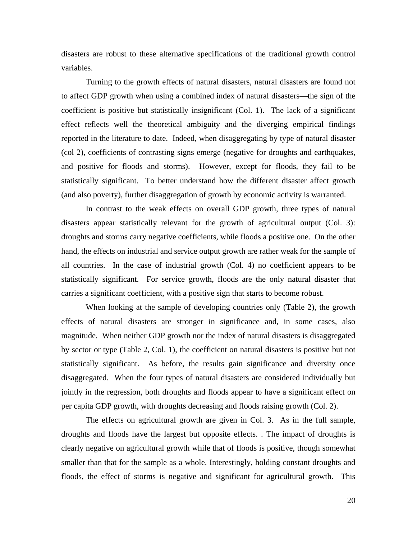disasters are robust to these alternative specifications of the traditional growth control variables.

 Turning to the growth effects of natural disasters, natural disasters are found not to affect GDP growth when using a combined index of natural disasters—the sign of the coefficient is positive but statistically insignificant (Col. 1). The lack of a significant effect reflects well the theoretical ambiguity and the diverging empirical findings reported in the literature to date. Indeed, when disaggregating by type of natural disaster (col 2), coefficients of contrasting signs emerge (negative for droughts and earthquakes, and positive for floods and storms). However, except for floods, they fail to be statistically significant. To better understand how the different disaster affect growth (and also poverty), further disaggregation of growth by economic activity is warranted.

In contrast to the weak effects on overall GDP growth, three types of natural disasters appear statistically relevant for the growth of agricultural output (Col. 3): droughts and storms carry negative coefficients, while floods a positive one. On the other hand, the effects on industrial and service output growth are rather weak for the sample of all countries. In the case of industrial growth (Col. 4) no coefficient appears to be statistically significant. For service growth, floods are the only natural disaster that carries a significant coefficient, with a positive sign that starts to become robust.

When looking at the sample of developing countries only (Table 2), the growth effects of natural disasters are stronger in significance and, in some cases, also magnitude. When neither GDP growth nor the index of natural disasters is disaggregated by sector or type (Table 2, Col. 1), the coefficient on natural disasters is positive but not statistically significant. As before, the results gain significance and diversity once disaggregated. When the four types of natural disasters are considered individually but jointly in the regression, both droughts and floods appear to have a significant effect on per capita GDP growth, with droughts decreasing and floods raising growth (Col. 2).

The effects on agricultural growth are given in Col. 3. As in the full sample, droughts and floods have the largest but opposite effects. . The impact of droughts is clearly negative on agricultural growth while that of floods is positive, though somewhat smaller than that for the sample as a whole. Interestingly, holding constant droughts and floods, the effect of storms is negative and significant for agricultural growth. This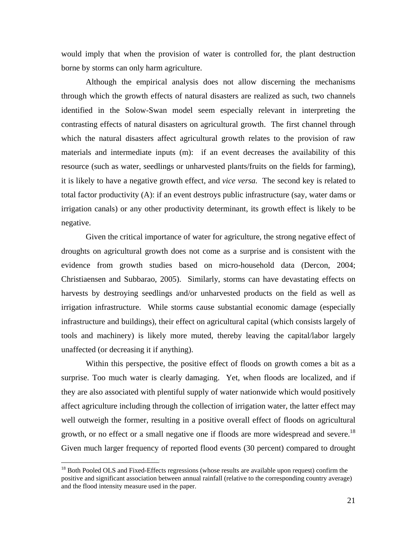would imply that when the provision of water is controlled for, the plant destruction borne by storms can only harm agriculture.

Although the empirical analysis does not allow discerning the mechanisms through which the growth effects of natural disasters are realized as such, two channels identified in the Solow-Swan model seem especially relevant in interpreting the contrasting effects of natural disasters on agricultural growth. The first channel through which the natural disasters affect agricultural growth relates to the provision of raw materials and intermediate inputs (m): if an event decreases the availability of this resource (such as water, seedlings or unharvested plants/fruits on the fields for farming), it is likely to have a negative growth effect, and *vice versa.* The second key is related to total factor productivity (A): if an event destroys public infrastructure (say, water dams or irrigation canals) or any other productivity determinant, its growth effect is likely to be negative.

Given the critical importance of water for agriculture, the strong negative effect of droughts on agricultural growth does not come as a surprise and is consistent with the evidence from growth studies based on micro-household data (Dercon, 2004; Christiaensen and Subbarao, 2005). Similarly, storms can have devastating effects on harvests by destroying seedlings and/or unharvested products on the field as well as irrigation infrastructure. While storms cause substantial economic damage (especially infrastructure and buildings), their effect on agricultural capital (which consists largely of tools and machinery) is likely more muted, thereby leaving the capital/labor largely unaffected (or decreasing it if anything).

Within this perspective, the positive effect of floods on growth comes a bit as a surprise. Too much water is clearly damaging. Yet, when floods are localized, and if they are also associated with plentiful supply of water nationwide which would positively affect agriculture including through the collection of irrigation water, the latter effect may well outweigh the former, resulting in a positive overall effect of floods on agricultural growth, or no effect or a small negative one if floods are more widespread and severe.<sup>18</sup> Given much larger frequency of reported flood events (30 percent) compared to drought

1

<sup>&</sup>lt;sup>18</sup> Both Pooled OLS and Fixed-Effects regressions (whose results are available upon request) confirm the positive and significant association between annual rainfall (relative to the corresponding country average) and the flood intensity measure used in the paper.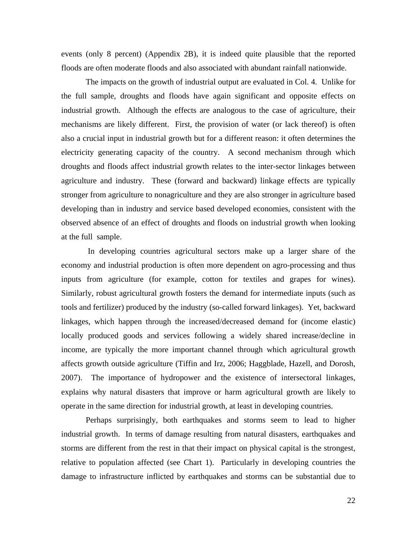events (only 8 percent) (Appendix 2B), it is indeed quite plausible that the reported floods are often moderate floods and also associated with abundant rainfall nationwide.

The impacts on the growth of industrial output are evaluated in Col. 4. Unlike for the full sample, droughts and floods have again significant and opposite effects on industrial growth. Although the effects are analogous to the case of agriculture, their mechanisms are likely different. First, the provision of water (or lack thereof) is often also a crucial input in industrial growth but for a different reason: it often determines the electricity generating capacity of the country. A second mechanism through which droughts and floods affect industrial growth relates to the inter-sector linkages between agriculture and industry. These (forward and backward) linkage effects are typically stronger from agriculture to nonagriculture and they are also stronger in agriculture based developing than in industry and service based developed economies, consistent with the observed absence of an effect of droughts and floods on industrial growth when looking at the full sample.

 In developing countries agricultural sectors make up a larger share of the economy and industrial production is often more dependent on agro-processing and thus inputs from agriculture (for example, cotton for textiles and grapes for wines). Similarly, robust agricultural growth fosters the demand for intermediate inputs (such as tools and fertilizer) produced by the industry (so-called forward linkages). Yet, backward linkages, which happen through the increased/decreased demand for (income elastic) locally produced goods and services following a widely shared increase/decline in income, are typically the more important channel through which agricultural growth affects growth outside agriculture (Tiffin and Irz, 2006; Haggblade, Hazell, and Dorosh, 2007). The importance of hydropower and the existence of intersectoral linkages, explains why natural disasters that improve or harm agricultural growth are likely to operate in the same direction for industrial growth, at least in developing countries.

Perhaps surprisingly, both earthquakes and storms seem to lead to higher industrial growth. In terms of damage resulting from natural disasters, earthquakes and storms are different from the rest in that their impact on physical capital is the strongest, relative to population affected (see Chart 1). Particularly in developing countries the damage to infrastructure inflicted by earthquakes and storms can be substantial due to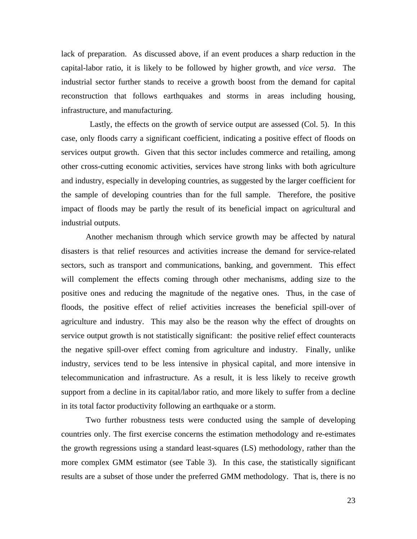lack of preparation. As discussed above, if an event produces a sharp reduction in the capital-labor ratio, it is likely to be followed by higher growth, and *vice versa*. The industrial sector further stands to receive a growth boost from the demand for capital reconstruction that follows earthquakes and storms in areas including housing, infrastructure, and manufacturing.

 Lastly, the effects on the growth of service output are assessed (Col. 5). In this case, only floods carry a significant coefficient, indicating a positive effect of floods on services output growth. Given that this sector includes commerce and retailing, among other cross-cutting economic activities, services have strong links with both agriculture and industry, especially in developing countries, as suggested by the larger coefficient for the sample of developing countries than for the full sample. Therefore, the positive impact of floods may be partly the result of its beneficial impact on agricultural and industrial outputs.

Another mechanism through which service growth may be affected by natural disasters is that relief resources and activities increase the demand for service-related sectors, such as transport and communications, banking, and government. This effect will complement the effects coming through other mechanisms, adding size to the positive ones and reducing the magnitude of the negative ones. Thus, in the case of floods, the positive effect of relief activities increases the beneficial spill-over of agriculture and industry. This may also be the reason why the effect of droughts on service output growth is not statistically significant: the positive relief effect counteracts the negative spill-over effect coming from agriculture and industry. Finally, unlike industry, services tend to be less intensive in physical capital, and more intensive in telecommunication and infrastructure. As a result, it is less likely to receive growth support from a decline in its capital/labor ratio, and more likely to suffer from a decline in its total factor productivity following an earthquake or a storm.

Two further robustness tests were conducted using the sample of developing countries only. The first exercise concerns the estimation methodology and re-estimates the growth regressions using a standard least-squares (LS) methodology, rather than the more complex GMM estimator (see Table 3). In this case, the statistically significant results are a subset of those under the preferred GMM methodology. That is, there is no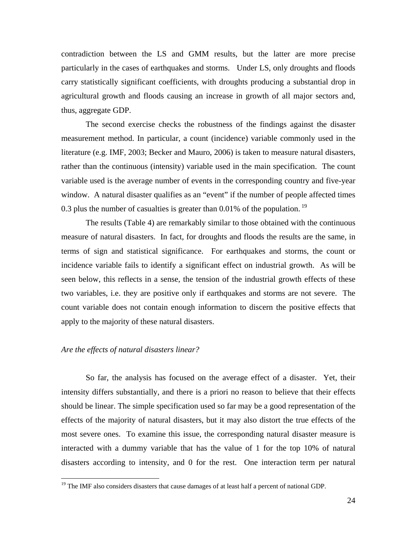contradiction between the LS and GMM results, but the latter are more precise particularly in the cases of earthquakes and storms. Under LS, only droughts and floods carry statistically significant coefficients, with droughts producing a substantial drop in agricultural growth and floods causing an increase in growth of all major sectors and, thus, aggregate GDP.

The second exercise checks the robustness of the findings against the disaster measurement method. In particular, a count (incidence) variable commonly used in the literature (e.g. IMF, 2003; Becker and Mauro, 2006) is taken to measure natural disasters, rather than the continuous (intensity) variable used in the main specification. The count variable used is the average number of events in the corresponding country and five-year window. A natural disaster qualifies as an "event" if the number of people affected times 0.3 plus the number of casualties is greater than 0.01% of the population.<sup>19</sup>

The results (Table 4) are remarkably similar to those obtained with the continuous measure of natural disasters. In fact, for droughts and floods the results are the same, in terms of sign and statistical significance. For earthquakes and storms, the count or incidence variable fails to identify a significant effect on industrial growth. As will be seen below, this reflects in a sense, the tension of the industrial growth effects of these two variables, i.e. they are positive only if earthquakes and storms are not severe. The count variable does not contain enough information to discern the positive effects that apply to the majority of these natural disasters.

### *Are the effects of natural disasters linear?*

 $\overline{a}$ 

So far, the analysis has focused on the average effect of a disaster. Yet, their intensity differs substantially, and there is a priori no reason to believe that their effects should be linear. The simple specification used so far may be a good representation of the effects of the majority of natural disasters, but it may also distort the true effects of the most severe ones. To examine this issue, the corresponding natural disaster measure is interacted with a dummy variable that has the value of 1 for the top 10% of natural disasters according to intensity, and 0 for the rest. One interaction term per natural

 $19$  The IMF also considers disasters that cause damages of at least half a percent of national GDP.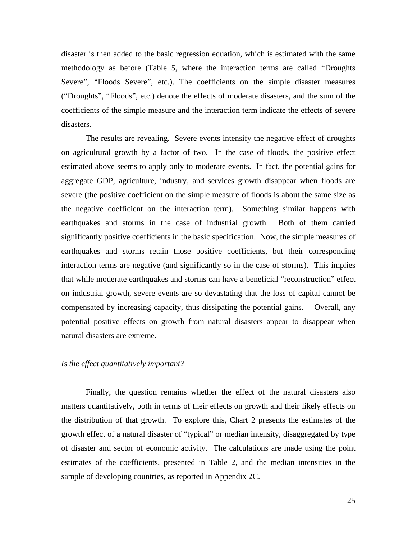disaster is then added to the basic regression equation, which is estimated with the same methodology as before (Table 5, where the interaction terms are called "Droughts Severe", "Floods Severe", etc.). The coefficients on the simple disaster measures ("Droughts", "Floods", etc.) denote the effects of moderate disasters, and the sum of the coefficients of the simple measure and the interaction term indicate the effects of severe disasters.

The results are revealing. Severe events intensify the negative effect of droughts on agricultural growth by a factor of two. In the case of floods, the positive effect estimated above seems to apply only to moderate events. In fact, the potential gains for aggregate GDP, agriculture, industry, and services growth disappear when floods are severe (the positive coefficient on the simple measure of floods is about the same size as the negative coefficient on the interaction term). Something similar happens with earthquakes and storms in the case of industrial growth. Both of them carried significantly positive coefficients in the basic specification. Now, the simple measures of earthquakes and storms retain those positive coefficients, but their corresponding interaction terms are negative (and significantly so in the case of storms). This implies that while moderate earthquakes and storms can have a beneficial "reconstruction" effect on industrial growth, severe events are so devastating that the loss of capital cannot be compensated by increasing capacity, thus dissipating the potential gains. Overall, any potential positive effects on growth from natural disasters appear to disappear when natural disasters are extreme.

### *Is the effect quantitatively important?*

 Finally, the question remains whether the effect of the natural disasters also matters quantitatively, both in terms of their effects on growth and their likely effects on the distribution of that growth. To explore this, Chart 2 presents the estimates of the growth effect of a natural disaster of "typical" or median intensity, disaggregated by type of disaster and sector of economic activity. The calculations are made using the point estimates of the coefficients, presented in Table 2, and the median intensities in the sample of developing countries, as reported in Appendix 2C.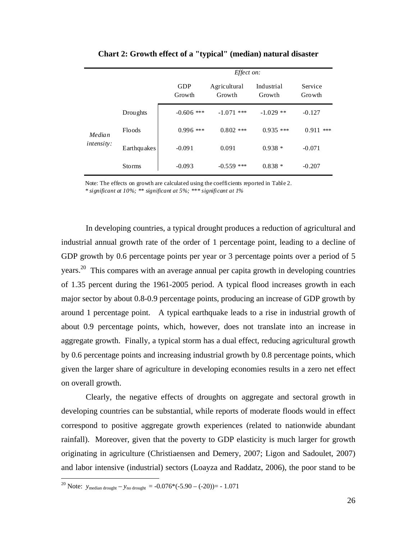|                   |             |                      | Effect on:             |                      |                   |
|-------------------|-------------|----------------------|------------------------|----------------------|-------------------|
|                   |             | <b>GDP</b><br>Growth | Agricultural<br>Growth | Industrial<br>Growth | Service<br>Growth |
|                   | Drou ghts   | $-0.606$ ***         | $-1.071$<br>***        | $-1.029$ **          | $-0.127$          |
| Floods<br>Median  | $0.996$ *** | $0.802$ ***          | $0.935$ ***            | 0.911<br>***         |                   |
| <i>intensity:</i> | Earthquakes | $-0.091$             | 0.091                  | $0.938*$             | $-0.071$          |
|                   | Storms      | $-0.093$             | $-0.559$ ***           | $0.838*$             | $-0.207$          |

**Chart 2: Growth effect of a "typical" (median) natural disaster** 

Note: The effects on growth are calculated using the coefficients reported in Table 2.

*\* significant at 10%; \*\* significant at 5%; \*\*\* significant at 1%*

In developing countries, a typical drought produces a reduction of agricultural and industrial annual growth rate of the order of 1 percentage point, leading to a decline of GDP growth by 0.6 percentage points per year or 3 percentage points over a period of 5 years.<sup>20</sup> This compares with an average annual per capita growth in developing countries of 1.35 percent during the 1961-2005 period. A typical flood increases growth in each major sector by about 0.8-0.9 percentage points, producing an increase of GDP growth by around 1 percentage point. A typical earthquake leads to a rise in industrial growth of about 0.9 percentage points, which, however, does not translate into an increase in aggregate growth. Finally, a typical storm has a dual effect, reducing agricultural growth by 0.6 percentage points and increasing industrial growth by 0.8 percentage points, which given the larger share of agriculture in developing economies results in a zero net effect on overall growth.

 Clearly, the negative effects of droughts on aggregate and sectoral growth in developing countries can be substantial, while reports of moderate floods would in effect correspond to positive aggregate growth experiences (related to nationwide abundant rainfall). Moreover, given that the poverty to GDP elasticity is much larger for growth originating in agriculture (Christiaensen and Demery, 2007; Ligon and Sadoulet, 2007) and labor intensive (industrial) sectors (Loayza and Raddatz, 2006), the poor stand to be

 $\overline{a}$ 

<sup>&</sup>lt;sup>20</sup> Note:  $y_{\text{median dropout}} - y_{\text{no dropout}} = -0.076*(-5.90 - (-20)) = -1.071$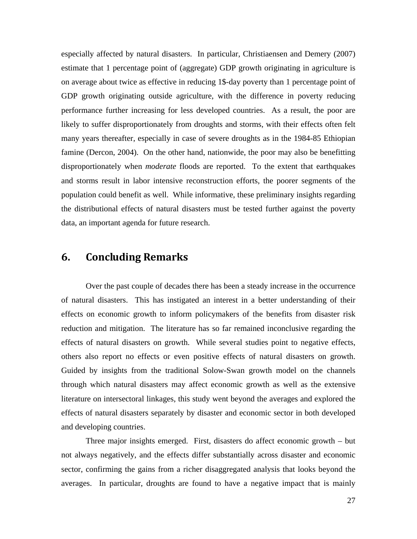especially affected by natural disasters. In particular, Christiaensen and Demery (2007) estimate that 1 percentage point of (aggregate) GDP growth originating in agriculture is on average about twice as effective in reducing 1\$-day poverty than 1 percentage point of GDP growth originating outside agriculture, with the difference in poverty reducing performance further increasing for less developed countries. As a result, the poor are likely to suffer disproportionately from droughts and storms, with their effects often felt many years thereafter, especially in case of severe droughts as in the 1984-85 Ethiopian famine (Dercon, 2004). On the other hand, nationwide, the poor may also be benefitting disproportionately when *moderate* floods are reported. To the extent that earthquakes and storms result in labor intensive reconstruction efforts, the poorer segments of the population could benefit as well. While informative, these preliminary insights regarding the distributional effects of natural disasters must be tested further against the poverty data, an important agenda for future research.

## **6. Concluding Remarks**

Over the past couple of decades there has been a steady increase in the occurrence of natural disasters. This has instigated an interest in a better understanding of their effects on economic growth to inform policymakers of the benefits from disaster risk reduction and mitigation. The literature has so far remained inconclusive regarding the effects of natural disasters on growth. While several studies point to negative effects, others also report no effects or even positive effects of natural disasters on growth. Guided by insights from the traditional Solow-Swan growth model on the channels through which natural disasters may affect economic growth as well as the extensive literature on intersectoral linkages, this study went beyond the averages and explored the effects of natural disasters separately by disaster and economic sector in both developed and developing countries.

Three major insights emerged. First, disasters do affect economic growth – but not always negatively, and the effects differ substantially across disaster and economic sector, confirming the gains from a richer disaggregated analysis that looks beyond the averages. In particular, droughts are found to have a negative impact that is mainly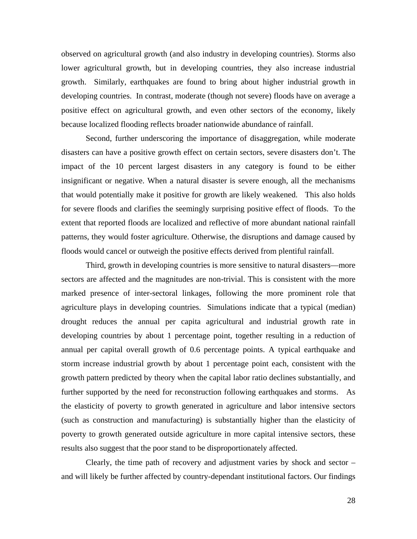observed on agricultural growth (and also industry in developing countries). Storms also lower agricultural growth, but in developing countries, they also increase industrial growth. Similarly, earthquakes are found to bring about higher industrial growth in developing countries. In contrast, moderate (though not severe) floods have on average a positive effect on agricultural growth, and even other sectors of the economy, likely because localized flooding reflects broader nationwide abundance of rainfall.

Second, further underscoring the importance of disaggregation, while moderate disasters can have a positive growth effect on certain sectors, severe disasters don't. The impact of the 10 percent largest disasters in any category is found to be either insignificant or negative. When a natural disaster is severe enough, all the mechanisms that would potentially make it positive for growth are likely weakened. This also holds for severe floods and clarifies the seemingly surprising positive effect of floods. To the extent that reported floods are localized and reflective of more abundant national rainfall patterns, they would foster agriculture. Otherwise, the disruptions and damage caused by floods would cancel or outweigh the positive effects derived from plentiful rainfall.

Third, growth in developing countries is more sensitive to natural disasters—more sectors are affected and the magnitudes are non-trivial. This is consistent with the more marked presence of inter-sectoral linkages, following the more prominent role that agriculture plays in developing countries. Simulations indicate that a typical (median) drought reduces the annual per capita agricultural and industrial growth rate in developing countries by about 1 percentage point, together resulting in a reduction of annual per capital overall growth of 0.6 percentage points. A typical earthquake and storm increase industrial growth by about 1 percentage point each, consistent with the growth pattern predicted by theory when the capital labor ratio declines substantially, and further supported by the need for reconstruction following earthquakes and storms. As the elasticity of poverty to growth generated in agriculture and labor intensive sectors (such as construction and manufacturing) is substantially higher than the elasticity of poverty to growth generated outside agriculture in more capital intensive sectors, these results also suggest that the poor stand to be disproportionately affected.

Clearly, the time path of recovery and adjustment varies by shock and sector – and will likely be further affected by country-dependant institutional factors. Our findings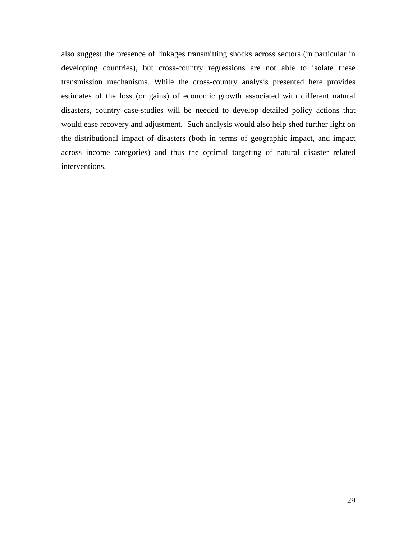also suggest the presence of linkages transmitting shocks across sectors (in particular in developing countries), but cross-country regressions are not able to isolate these transmission mechanisms. While the cross-country analysis presented here provides estimates of the loss (or gains) of economic growth associated with different natural disasters, country case-studies will be needed to develop detailed policy actions that would ease recovery and adjustment. Such analysis would also help shed further light on the distributional impact of disasters (both in terms of geographic impact, and impact across income categories) and thus the optimal targeting of natural disaster related interventions.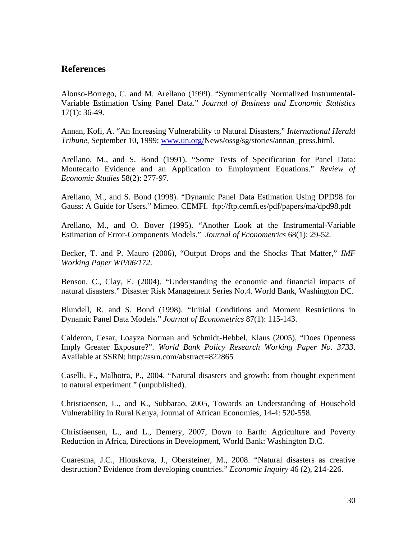### **References**

Alonso-Borrego, C. and M. Arellano (1999). "Symmetrically Normalized Instrumental-Variable Estimation Using Panel Data." *Journal of Business and Economic Statistics* 17(1): 36-49.

Annan, Kofi, A. "An Increasing Vulnerability to Natural Disasters," *International Herald Tribune,* September 10, 1999; www.un.org/News/ossg/sg/stories/annan\_press.html.

Arellano, M., and S. Bond (1991). "Some Tests of Specification for Panel Data: Montecarlo Evidence and an Application to Employment Equations." *Review of Economic Studies* 58(2): 277-97.

Arellano, M., and S. Bond (1998). "Dynamic Panel Data Estimation Using DPD98 for Gauss: A Guide for Users." Mimeo. CEMFI. ftp://ftp.cemfi.es/pdf/papers/ma/dpd98.pdf

Arellano, M., and O. Bover (1995). "Another Look at the Instrumental-Variable Estimation of Error-Components Models." *Journal of Econometrics* 68(1): 29-52.

Becker, T. and P. Mauro (2006), "Output Drops and the Shocks That Matter," *IMF Working Paper WP/06/172*.

Benson, C., Clay, E. (2004). "Understanding the economic and financial impacts of natural disasters." Disaster Risk Management Series No.4. World Bank, Washington DC.

Blundell, R. and S. Bond (1998). "Initial Conditions and Moment Restrictions in Dynamic Panel Data Models." *Journal of Econometrics* 87(1): 115-143.

Calderon, Cesar, Loayza Norman and Schmidt-Hebbel, Klaus (2005), "Does Openness Imply Greater Exposure?". *World Bank Policy Research Working Paper No. 3733*. Available at SSRN: http://ssrn.com/abstract=822865

Caselli, F., Malhotra, P., 2004. "Natural disasters and growth: from thought experiment to natural experiment." (unpublished).

Christiaensen, L., and K., Subbarao, 2005, Towards an Understanding of Household Vulnerability in Rural Kenya, Journal of African Economies, 14-4: 520-558.

Christiaensen, L., and L., Demery, 2007, Down to Earth: Agriculture and Poverty Reduction in Africa, Directions in Development, World Bank: Washington D.C.

Cuaresma, J.C., Hlouskova, J., Obersteiner, M., 2008. "Natural disasters as creative destruction? Evidence from developing countries." *Economic Inquiry* 46 (2), 214-226.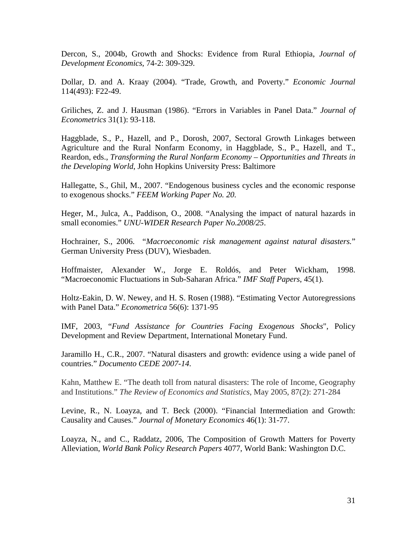Dercon, S., 2004b, Growth and Shocks: Evidence from Rural Ethiopia, *Journal of Development Economics*, 74-2: 309-329.

Dollar, D. and A. Kraay (2004). "Trade, Growth, and Poverty." *Economic Journal* 114(493): F22-49.

Griliches, Z. and J. Hausman (1986). "Errors in Variables in Panel Data." *Journal of Econometrics* 31(1): 93-118.

Haggblade, S., P., Hazell, and P., Dorosh, 2007, Sectoral Growth Linkages between Agriculture and the Rural Nonfarm Economy, in Haggblade, S., P., Hazell, and T., Reardon, eds., *Transforming the Rural Nonfarm Economy – Opportunities and Threats in the Developing World*, John Hopkins University Press: Baltimore

Hallegatte, S., Ghil, M., 2007. "Endogenous business cycles and the economic response to exogenous shocks." *FEEM Working Paper No. 20.*

Heger, M., Julca, A., Paddison, O., 2008. "Analysing the impact of natural hazards in small economies." *UNU-WIDER Research Paper No.2008/25*.

Hochrainer, S., 2006. "*Macroeconomic risk management against natural disasters.*" German University Press (DUV), Wiesbaden.

Hoffmaister, Alexander W., Jorge E. Roldós, and Peter Wickham, 1998. "Macroeconomic Fluctuations in Sub-Saharan Africa." *IMF Staff Papers*, 45(1).

Holtz-Eakin, D. W. Newey, and H. S. Rosen (1988). "Estimating Vector Autoregressions with Panel Data." *Econometrica* 56(6): 1371-95

IMF, 2003, "*Fund Assistance for Countries Facing Exogenous Shocks*", Policy Development and Review Department, International Monetary Fund.

Jaramillo H., C.R., 2007. "Natural disasters and growth: evidence using a wide panel of countries." *Documento CEDE 2007-14*.

Kahn, Matthew E. "The death toll from natural disasters: The role of Income, Geography and Institutions." *The Review of Economics and Statistics*, May 2005, 87(2): 271-284

Levine, R., N. Loayza, and T. Beck (2000). "Financial Intermediation and Growth: Causality and Causes." *Journal of Monetary Economics* 46(1): 31-77.

Loayza, N., and C., Raddatz, 2006, The Composition of Growth Matters for Poverty Alleviation, *World Bank Policy Research Papers* 4077, World Bank: Washington D.C.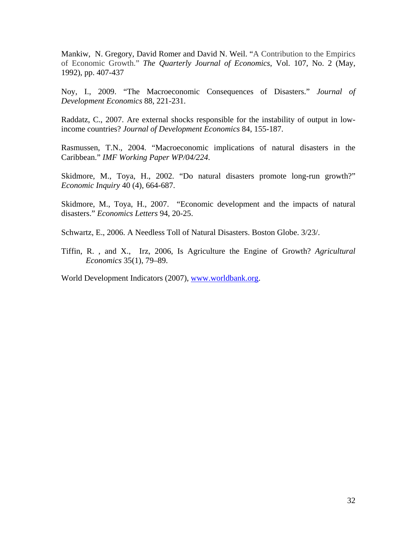Mankiw, N. Gregory, David Romer and David N. Weil. "A Contribution to the Empirics of Economic Growth." *The Quarterly Journal of Economics*, Vol. 107, No. 2 (May, 1992), pp. 407-437

Noy, I., 2009. "The Macroeconomic Consequences of Disasters." *Journal of Development Economics* 88, 221-231.

Raddatz, C., 2007. Are external shocks responsible for the instability of output in lowincome countries? *Journal of Development Economics* 84, 155-187.

Rasmussen, T.N., 2004. "Macroeconomic implications of natural disasters in the Caribbean." *IMF Working Paper WP/04/224*.

Skidmore, M., Toya, H., 2002. "Do natural disasters promote long-run growth?" *Economic Inquiry* 40 (4), 664-687.

Skidmore, M., Toya, H., 2007. "Economic development and the impacts of natural disasters." *Economics Letters* 94, 20-25.

Schwartz, E., 2006. A Needless Toll of Natural Disasters. Boston Globe. 3/23/.

Tiffin, R. , and X., Irz, 2006, Is Agriculture the Engine of Growth? *Agricultural Economics* 35(1), 79–89.

World Development Indicators (2007), www.worldbank.org.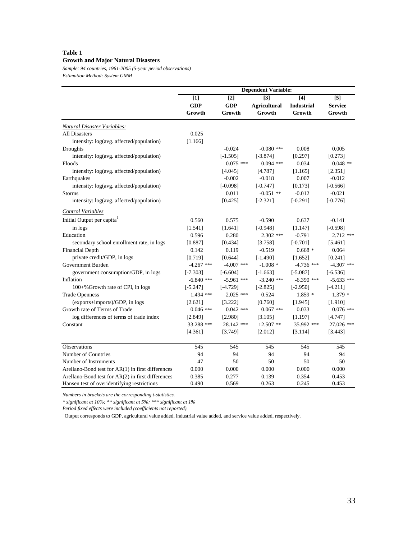#### **Table 1 Growth and Major Natural Disasters**

*Sample: 94 countries, 1961-2005 (5-year period observations) Estimation Method: System GMM*

|                                                   |              |              | <b>Dependent Variable:</b> |                   |                |
|---------------------------------------------------|--------------|--------------|----------------------------|-------------------|----------------|
|                                                   | $[1]$        | $[2]$        | $[3]$                      | $\boxed{4}$       | $[5]$          |
|                                                   | <b>GDP</b>   | <b>GDP</b>   | <b>Agricultural</b>        | <b>Industrial</b> | <b>Service</b> |
|                                                   | Growth       | Growth       | Growth                     | Growth            | Growth         |
| <b>Natural Disaster Variables:</b>                |              |              |                            |                   |                |
| <b>All Disasters</b>                              | 0.025        |              |                            |                   |                |
| intensity: log(avg. affected/population)          | [1.166]      |              |                            |                   |                |
| Droughts                                          |              | $-0.024$     | $-0.080$ ***               | 0.008             | 0.005          |
| intensity: log(avg. affected/population)          |              | $[-1.505]$   | $[-3.874]$                 | [0.297]           | [0.273]        |
| Floods                                            |              | $0.075$ ***  | $0.094$ ***                | 0.034             | $0.048$ **     |
| intensity: log(avg. affected/population)          |              | [4.045]      | [4.787]                    | [1.165]           | [2.351]        |
| Earthquakes                                       |              | $-0.002$     | $-0.018$                   | 0.007             | $-0.012$       |
| intensity: log(avg. affected/population)          |              | $[-0.098]$   | $[-0.747]$                 | [0.173]           | $[-0.566]$     |
| Storms                                            |              | 0.011        | $-0.051$ **                | $-0.012$          | $-0.021$       |
| intensity: log(avg. affected/population)          |              | [0.425]      | $[-2.321]$                 | $[-0.291]$        | $[-0.776]$     |
| Control Variables                                 |              |              |                            |                   |                |
| Initial Output per capita <sup>1</sup>            | 0.560        | 0.575        | $-0.590$                   | 0.637             | $-0.141$       |
| in logs                                           | [1.541]      | [1.641]      | $[-0.948]$                 | [1.147]           | $[-0.598]$     |
| Education                                         | 0.596        | 0.280        | $2.302$ ***                | $-0.791$          | $2.712$ ***    |
| secondary school enrollment rate, in logs         | [0.887]      | [0.434]      | [3.758]                    | $[-0.701]$        | [5.461]        |
| <b>Financial Depth</b>                            | 0.142        | 0.119        | $-0.519$                   | $0.668*$          | 0.064          |
| private credit/GDP, in logs                       | [0.719]      | [0.644]      | $[-1.490]$                 | [1.652]           | [0.241]        |
| Government Burden                                 | $-4.267$ *** | $-4.007$ *** | $-1.008*$                  | $-4.736$ ***      | $-4.307$ ***   |
| government consumption/GDP, in logs               | $[-7.303]$   | $[-6.604]$   | $[-1.663]$                 | $[-5.087]$        | $[-6.536]$     |
| Inflation                                         | $-6.840$ *** | $-5.961$ *** | $-3.240$ ***               | $-6.390$ ***      | $-5.633$ ***   |
| $100 + %$ Growth rate of CPI, in logs             | $[-5.247]$   | $[-4.729]$   | $[-2.825]$                 | $[-2.950]$        | $[-4.211]$     |
| <b>Trade Openness</b>                             | 1.494 ***    | $2.025$ ***  | 0.524                      | $1.859*$          | $1.379*$       |
| (exports+imports)/GDP, in logs                    | [2.621]      | [3.222]      | [0.760]                    | [1.945]           | [1.910]        |
| Growth rate of Terms of Trade                     | $0.046$ ***  | $0.042$ ***  | $0.067$ ***                | 0.033             | $0.076$ ***    |
| log differences of terms of trade index           | [2.849]      | [2.980]      | [3.105]                    | [1.197]           | [4.747]        |
| Constant                                          | 33.288 ***   | 28.142 ***   | 12.507 **                  | 35.992 ***        | 27.026 ***     |
|                                                   | [4.361]      | [3.749]      | [2.012]                    | [3.114]           | [3.443]        |
| Observations                                      | 545          | 545          | 545                        | 545               | 545            |
| Number of Countries                               | 94           | 94           | 94                         | 94                | 94             |
| Number of Instruments                             | 47           | 50           | 50                         | 50                | 50             |
| Arellano-Bond test for AR(1) in first differences | 0.000        | 0.000        | 0.000                      | 0.000             | 0.000          |
| Arellano-Bond test for AR(2) in first differences | 0.385        | 0.277        | 0.139                      | 0.354             | 0.453          |
| Hansen test of overidentifying restrictions       | 0.490        | 0.569        | 0.263                      | 0.245             | 0.453          |

*Numbers in brackets are the corresponding t-statistics.* 

*\* significant at 10%; \*\* significant at 5%; \*\*\* significant at 1%*

*Period fixed effects were included (coefficients not reported).*

 $^{\rm 1}$  Output corresponds to GDP, agricultural value added, industrial value added, and service value added, respectively.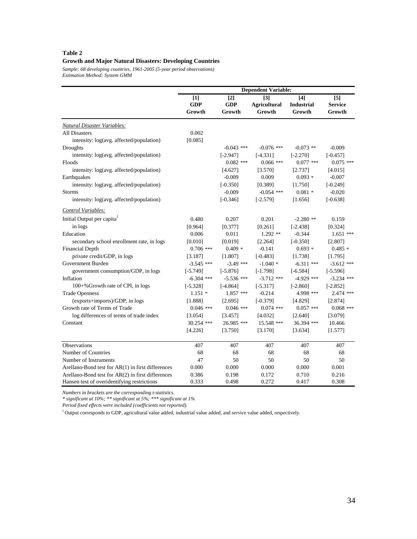#### **Table 2 Growth and Major Natural Disasters: Developing Countries**

*Sample: 68 developing countries, 1961-2005 (5-year period observations) Estimation Method: System GMM*

|                                                   |                                           |                                           | <b>Dependent Variable:</b>           |                                    |                                               |
|---------------------------------------------------|-------------------------------------------|-------------------------------------------|--------------------------------------|------------------------------------|-----------------------------------------------|
|                                                   | $\lceil 1 \rceil$<br><b>GDP</b><br>Growth | $\lceil 2 \rceil$<br><b>GDP</b><br>Growth | [3]<br><b>Agricultural</b><br>Growth | [4]<br><b>Industrial</b><br>Growth | $\lceil 5 \rceil$<br><b>Service</b><br>Growth |
| Natural Disaster Variables:                       |                                           |                                           |                                      |                                    |                                               |
| <b>All Disasters</b>                              | 0.002                                     |                                           |                                      |                                    |                                               |
| intensity: log(avg. affected/population)          | [0.085]                                   |                                           |                                      |                                    |                                               |
| Droughts                                          |                                           | $-0.043$ ***                              | $-0.076$ ***                         | $-0.073$ **                        | $-0.009$                                      |
| intensity: log(avg. affected/population)          |                                           | $[-2.947]$                                | $[-4.331]$                           | $[-2.270]$                         | $[-0.457]$                                    |
| Floods                                            |                                           | $0.082$ ***                               | $0.066$ ***                          | $0.077$ ***                        | $0.075$ ***                                   |
| intensity: log(avg. affected/population)          |                                           | [4.627]                                   | [3.570]                              | [2.737]                            | [4.015]                                       |
| Earthquakes                                       |                                           | $-0.009$                                  | 0.009                                | $0.093*$                           | $-0.007$                                      |
| intensity: log(avg. affected/population)          |                                           | $[-0.350]$                                | [0.389]                              | [1.750]                            | $[-0.249]$                                    |
| <b>Storms</b>                                     |                                           | $-0.009$                                  | $-0.054$ ***                         | $0.081*$                           | $-0.020$                                      |
| intensity: log(avg. affected/population)          |                                           | $[-0.346]$                                | $[-2.579]$                           | [1.656]                            | $[-0.638]$                                    |
| Control Variables:                                |                                           |                                           |                                      |                                    |                                               |
| Initial Output per capita <sup>1</sup>            | 0.480                                     | 0.207                                     | 0.201                                | $-2.280$ **                        | 0.159                                         |
| in logs                                           | [0.964]                                   | [0.377]                                   | [0.261]                              | $[-2.438]$                         | [0.324]                                       |
| Education                                         | 0.006                                     | 0.011                                     | $1.292$ **                           | $-0.344$                           | $1.651$ ***                                   |
| secondary school enrollment rate, in logs         | [0.010]                                   | [0.019]                                   | [2.264]                              | $[-0.350]$                         | [2.807]                                       |
| <b>Financial Depth</b>                            | $0.706$ ***                               | $0.409*$                                  | $-0.141$                             | $0.693*$                           | $0.485*$                                      |
| private credit/GDP, in logs                       | [3.187]                                   | [1.807]                                   | $[-0.483]$                           | [1.738]                            | [1.795]                                       |
| Government Burden                                 | $-3.545$ ***                              | $-3.49$ ***                               | $-1.040*$                            | $-6.311$ ***                       | $-3.612$ ***                                  |
| government consumption/GDP, in logs               | $[-5.749]$                                | $[-5.876]$                                | $[-1.798]$                           | $[-6.584]$                         | $[-5.596]$                                    |
| Inflation                                         | $-6.304$ ***                              | $-5.536$ ***                              | $-3.712$ ***                         | $-4.929$ ***                       | $-3.234$ ***                                  |
| 100+% Growth rate of CPI, in logs                 | $[-5.328]$                                | $[-4.864]$                                | $[-5.317]$                           | $[-2.860]$                         | $[-2.852]$                                    |
| <b>Trade Openness</b>                             | $1.151*$                                  | $1.857$ ***                               | $-0.214$                             | 4.998 ***                          | 2.474 ***                                     |
| (exports+imports)/GDP, in logs                    | [1.888]                                   | [2.695]                                   | $[-0.379]$                           | [4.829]                            | [2.874]                                       |
| Growth rate of Terms of Trade                     | $0.046$ ***                               | $0.046$ ***                               | $0.074$ ***                          | $0.057$ ***                        | $0.068$ ***                                   |
| log differences of terms of trade index           | [3.054]                                   | [3.457]                                   | [4.032]                              | [2.640]                            | [3.079]                                       |
| Constant                                          | 30.254 ***                                | 26.985 ***                                | 15.548 ***                           | 36.394 ***                         | 10.466                                        |
|                                                   | [4.226]                                   | [3.750]                                   | [3.170]                              | [3.634]                            | [1.577]                                       |
| <b>Observations</b>                               | 407                                       | 407                                       | 407                                  | 407                                | 407                                           |
| Number of Countries                               | 68                                        | 68                                        | 68                                   | 68                                 | 68                                            |
| Number of Instruments                             | 47                                        | 50                                        | 50                                   | 50                                 | 50                                            |
| Arellano-Bond test for AR(1) in first differences | 0.000                                     | 0.000                                     | 0.000                                | 0.000                              | 0.001                                         |
| Arellano-Bond test for AR(2) in first differences | 0.386                                     | 0.198                                     | 0.172                                | 0.710                              | 0.216                                         |
| Hansen test of overidentifying restrictions       | 0.333                                     | 0.498                                     | 0.272                                | 0.417                              | 0.308                                         |

*Numbers in brackets are the corresponding t-statistics.* 

*\* significant at 10%; \*\* significant at 5%; \*\*\* significant at 1%*

*Period fixed effects were included (coefficients not reported).*

 $1$  Output corresponds to GDP, agricultural value added, industrial value added, and service value added, respectively.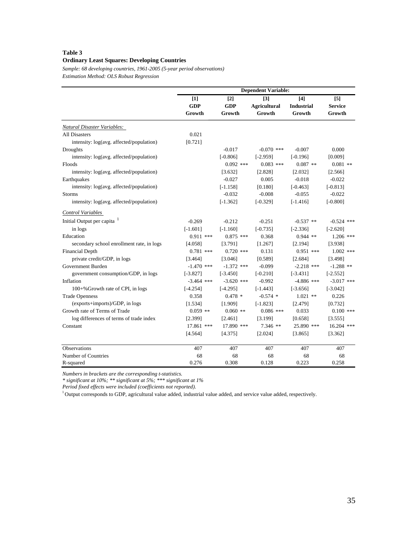#### **Table 3 Ordinary Least Squares: Developing Countries**

*Sample: 68 developing countries, 1961-2005 (5-year period observations) Estimation Method: OLS Robust Regression*

|                                            |                   |                                 | <b>Dependent Variable:</b>               |                          |                       |
|--------------------------------------------|-------------------|---------------------------------|------------------------------------------|--------------------------|-----------------------|
|                                            | [1]<br><b>GDP</b> | $\lceil 2 \rceil$<br><b>GDP</b> | $\lceil 3 \rceil$<br><b>Agricultural</b> | [4]<br><b>Industrial</b> | [5]<br><b>Service</b> |
|                                            | Growth            | Growth                          | Growth                                   | Growth                   | Growth                |
| Natural Disaster Variables:                |                   |                                 |                                          |                          |                       |
| <b>All Disasters</b>                       | 0.021             |                                 |                                          |                          |                       |
| intensity: log(avg. affected/population)   | [0.721]           |                                 |                                          |                          |                       |
| Droughts                                   |                   | $-0.017$                        | $-0.070$ ***                             | $-0.007$                 | 0.000                 |
| intensity: log(avg. affected/population)   |                   | $[-0.806]$                      | $[-2.959]$                               | $[-0.196]$               | [0.009]               |
| Floods                                     |                   | $0.092$ ***                     | $0.083$ ***                              | $0.087$ **               | $0.081$ **            |
| intensity: log(avg. affected/population)   |                   | [3.632]                         | [2.828]                                  | [2.032]                  | [2.566]               |
| Earthquakes                                |                   | $-0.027$                        | 0.005                                    | $-0.018$                 | $-0.022$              |
| intensity: $log(avg.$ affected/population) |                   | $[-1.158]$                      | [0.180]                                  | $[-0.463]$               | $[-0.813]$            |
| Storms                                     |                   | $-0.032$                        | $-0.008$                                 | $-0.055$                 | $-0.022$              |
| intensity: log(avg. affected/population)   |                   | $[-1.362]$                      | $[-0.329]$                               | $[-1.416]$               | $[-0.800]$            |
| Control Variables                          |                   |                                 |                                          |                          |                       |
| Initial Output per capita <sup>1</sup>     | $-0.269$          | $-0.212$                        | $-0.251$                                 | $-0.537$ **              | $-0.524$ ***          |
| in logs                                    | $[-1.601]$        | $[-1.160]$                      | $[-0.735]$                               | $[-2.336]$               | $[-2.620]$            |
| Education                                  | $0.911$ ***       | $0.875$ ***                     | 0.368                                    | $0.944$ **               | $1.206$ ***           |
| secondary school enrollment rate, in logs  | [4.058]           | [3.791]                         | [1.267]                                  | [2.194]                  | [3.938]               |
| <b>Financial Depth</b>                     | $0.781$ ***       | $0.720$ ***                     | 0.131                                    | $0.951$ ***              | $1.002$ ***           |
| private credit/GDP, in logs                | [3.464]           | [3.046]                         | [0.589]                                  | [2.684]                  | [3.498]               |
| Government Burden                          | $-1.470$ ***      | $-1.372$ ***                    | $-0.099$                                 | $-2.218$ ***             | $-1.288$ **           |
| government consumption/GDP, in logs        | $[-3.827]$        | $[-3.450]$                      | $[-0.210]$                               | $[-3.431]$               | $[-2.552]$            |
| Inflation                                  | $-3.464$ ***      | $-3.620$ ***                    | $-0.992$                                 | $-4.886$ ***             | $-3.017$ ***          |
| 100+% Growth rate of CPI, in logs          | $[-4.254]$        | $[-4.295]$                      | $[-1.443]$                               | $[-3.656]$               | $[-3.042]$            |
| <b>Trade Openness</b>                      | 0.358             | $0.478*$                        | $-0.574$ *                               | $1.021$ **               | 0.226                 |
| (exports+imports)/GDP, in logs             | [1.534]           | [1.909]                         | $[-1.823]$                               | [2.479]                  | [0.732]               |
| Growth rate of Terms of Trade              | $0.059$ **        | $0.060$ **                      | $0.086$ ***                              | 0.033                    | $0.100$ ***           |
| log differences of terms of trade index    | [2.399]           | [2.461]                         | [3.199]                                  | [0.658]                  | [3.555]               |
| Constant                                   | 17.861 ***        | 17.890 ***                      | $7.346$ **                               | 25.890 ***               | 16.204 ***            |
|                                            | [4.564]           | [4.375]                         | [2.024]                                  | [3.865]                  | [3.362]               |
| Observations                               | 407               | 407                             | 407                                      | 407                      | 407                   |
| Number of Countries                        | 68                | 68                              | 68                                       | 68                       | 68                    |
| R-squared                                  | 0.276             | 0.308                           | 0.128                                    | 0.223                    | 0.258                 |

*Numbers in brackets are the corresponding t-statistics.* 

*\* significant at 10%; \*\* significant at 5%; \*\*\* significant at 1%*

*Period fixed effects were included (coefficients not reported).*

 $1$  Output corresponds to GDP, agricultural value added, industrial value added, and service value added, respectively.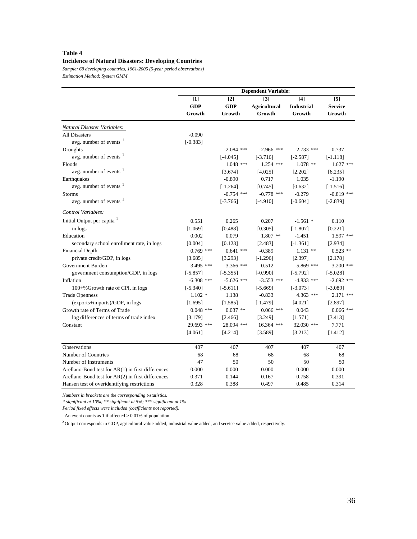### **Table 4**

#### **Incidence of Natural Disasters: Developing Countries**

*Sample: 68 developing countries, 1961-2005 (5-year period observations) Estimation Method: System GMM*

|                                                     |                               |                               | <b>Dependent Variable:</b>                         |                                    |                                   |
|-----------------------------------------------------|-------------------------------|-------------------------------|----------------------------------------------------|------------------------------------|-----------------------------------|
|                                                     | $[1]$<br><b>GDP</b><br>Growth | $[2]$<br><b>GDP</b><br>Growth | $\lceil 3 \rceil$<br><b>Agricultural</b><br>Growth | [4]<br><b>Industrial</b><br>Growth | $[5]$<br><b>Service</b><br>Growth |
| Natural Disaster Variables:                         |                               |                               |                                                    |                                    |                                   |
| <b>All Disasters</b>                                | $-0.090$                      |                               |                                                    |                                    |                                   |
| avg. number of events <sup>1</sup>                  | $[-0.383]$                    |                               |                                                    |                                    |                                   |
| Droughts                                            |                               | $-2.084$ ***                  | $-2.966$ ***                                       | $-2.733$ ***                       | $-0.737$                          |
| avg. number of events $\frac{1}{1}$                 |                               | $[-4.045]$                    | $[-3.716]$                                         | $[-2.587]$                         | $[-1.118]$                        |
| Floods                                              |                               | $1.048$ ***                   | $1.254$ ***                                        | $1.078$ **                         | $1.627$ ***                       |
| avg. number of events <sup>1</sup>                  |                               | [3.674]                       | [4.025]                                            | [2.202]                            | [6.235]                           |
| Earthquakes                                         |                               | $-0.890$                      | 0.717                                              | 1.035                              | $-1.190$                          |
| avg. number of events <sup>1</sup>                  |                               | $[-1.264]$                    | [0.745]                                            | [0.632]                            | $[-1.516]$                        |
| <b>Storms</b>                                       |                               | $-0.754$ ***                  | $-0.778$ ***                                       | $-0.279$                           | $-0.819$ ***                      |
| avg. number of events $1$                           |                               | $[-3.766]$                    | $[-4.910]$                                         | $[-0.604]$                         | $[-2.839]$                        |
| Control Variables:                                  |                               |                               |                                                    |                                    |                                   |
| Initial Output per capita <sup>2</sup>              | 0.551                         | 0.265                         | 0.207                                              | $-1.561$ *                         | 0.110                             |
| in logs                                             | [1.069]                       | [0.488]                       | [0.305]                                            | $[-1.807]$                         | [0.221]                           |
| Education                                           | 0.002                         | 0.079                         | $1.807$ **                                         | $-1.451$                           | $1.597$ ***                       |
| secondary school enrollment rate, in logs           | [0.004]                       | [0.123]                       | [2.483]                                            | $[-1.361]$                         | [2.934]                           |
| <b>Financial Depth</b>                              | $0.769$ ***                   | $0.641$ ***                   | $-0.389$                                           | $1.131$ **                         | $0.523$ **                        |
| private credit/GDP, in logs                         | [3.685]                       | [3.293]                       | $[-1.296]$                                         | [2.397]                            | [2.178]                           |
| Government Burden                                   | $-3.495$ ***                  | $-3.366$ ***                  | $-0.512$                                           | $-5.869$ ***                       | $-3.200$ ***                      |
| government consumption/GDP, in logs                 | $[-5.857]$                    | $[-5.355]$                    | $[-0.990]$                                         | $[-5.792]$                         | $[-5.028]$                        |
| Inflation                                           | $-6.308$ ***                  | $-5.626$ ***                  | $-3.553$ ***                                       | $-4.833$ ***                       | $-2.692$ ***                      |
| 100+%Growth rate of CPI, in logs                    | $[-5.340]$                    | $[-5.611]$                    | $[-5.669]$                                         | $[-3.073]$                         | $[-3.089]$                        |
| <b>Trade Openness</b>                               | $1.102*$                      | 1.138                         | $-0.833$                                           | 4.363 ***                          | 2.171 ***                         |
| (exports+imports)/GDP, in logs                      | [1.695]                       | [1.585]                       | $[-1.479]$                                         | [4.021]                            | [2.897]                           |
| Growth rate of Terms of Trade                       | $0.048$ ***                   | $0.037$ **                    | $0.066$ ***                                        | 0.043                              | $0.066$ ***                       |
| log differences of terms of trade index             | [3.179]                       | [2.466]                       | [3.249]                                            | [1.571]                            | [3.413]                           |
| Constant                                            | 29.693 ***                    | 28.094 ***                    | 16.364 ***                                         | 32.030 ***                         | 7.771                             |
|                                                     | [4.061]                       | [4.214]                       | [3.589]                                            | [3.213]                            | [1.412]                           |
| Observations                                        | 407                           | 407                           | 407                                                | 407                                | 407                               |
| Number of Countries                                 | 68                            | 68                            | 68                                                 | 68                                 | 68                                |
| Number of Instruments                               | 47                            | 50                            | 50                                                 | 50                                 | 50                                |
| Arellano-Bond test for AR(1) in first differences   | 0.000                         | 0.000                         | 0.000                                              | 0.000                              | 0.000                             |
| Arellano-Bond test for $AR(2)$ in first differences | 0.371                         | 0.144                         | 0.167                                              | 0.758                              | 0.391                             |
| Hansen test of overidentifying restrictions         | 0.328                         | 0.388                         | 0.497                                              | 0.485                              | 0.314                             |

*Numbers in brackets are the corresponding t-statistics.* 

*\* significant at 10%; \*\* significant at 5%; \*\*\* significant at 1%*

*Period fixed effects were included (coefficients not reported).*

 $^{\rm 1}$  An event counts as 1 if affected  $>0.01\%$  of population.

 $^2$  Output corresponds to GDP, agricultural value added, industrial value added, and service value added, respectively.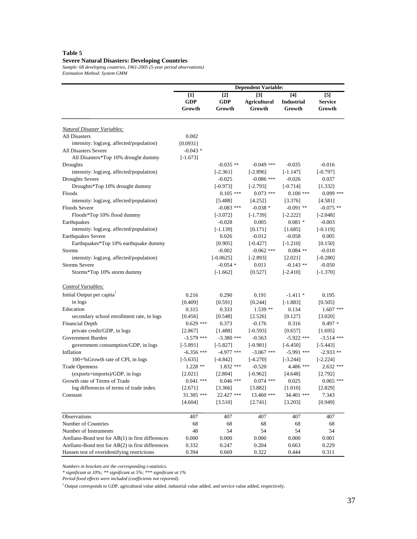### **Table 5**

#### **Severe Natural Disasters: Developing Countries**

*Sample: 68 developing countries, 1961-2005 (5-year period observations) Estimation Method: System GMM*

|                                                   |                               |                               | <b>Dependent Variable:</b>                         |                                      |                                 |
|---------------------------------------------------|-------------------------------|-------------------------------|----------------------------------------------------|--------------------------------------|---------------------------------|
|                                                   | $[1]$<br><b>GDP</b><br>Growth | $[2]$<br><b>GDP</b><br>Growth | $\lceil 3 \rceil$<br><b>Agricultural</b><br>Growth | $[4]$<br><b>Industrial</b><br>Growth | [5]<br><b>Service</b><br>Growth |
| Natural Disaster Variables:                       |                               |                               |                                                    |                                      |                                 |
| <b>All Disasters</b>                              | 0.002                         |                               |                                                    |                                      |                                 |
| intensity: log(avg. affected/population)          | [0.0931]                      |                               |                                                    |                                      |                                 |
| All Disasters Severe                              | $-0.043$ *                    |                               |                                                    |                                      |                                 |
| All Disasters*Top 10% drought dummy               | $[-1.673]$                    |                               |                                                    |                                      |                                 |
| Droughts                                          |                               | $-0.035$ **                   | $-0.049$ ***                                       | $-0.035$                             | $-0.016$                        |
| intensity: log(avg. affected/population)          |                               | $[-2.361]$                    | $[-2.896]$                                         | $[-1.147]$                           | $[-0.797]$                      |
| <b>Droughts Severe</b>                            |                               | $-0.025$                      | $-0.086$ ***                                       | $-0.026$                             | 0.037                           |
| Droughts*Top 10% drought dummy                    |                               | $[-0.973]$                    | $[-2.793]$                                         | $[-0.714]$                           | [1.332]                         |
| Floods                                            |                               | $0.105$ ***                   | $0.073$ ***                                        | $0.100$ ***                          | $0.099$ ***                     |
| intensity: log(avg. affected/population)          |                               | [5.488]                       | [4.252]                                            | [3.376]                              | [4.581]                         |
| Floods Severe                                     |                               | $-0.083$ ***                  | $-0.038*$                                          | $-0.091$ **                          | $-0.075$ **                     |
| Floods*Top 10% flood dummy                        |                               | $[-3.072]$                    | $[-1.739]$                                         | $[-2.222]$                           | $[-2.048]$                      |
| Earthquakes                                       |                               | $-0.028$                      | 0.005                                              | $0.081 *$                            | $-0.003$                        |
| intensity: log(avg. affected/population)          |                               | $[-1.139]$                    | $[0.171]$                                          | [1.685]                              | $[-0.119]$                      |
| <b>Earthquakes Severe</b>                         |                               | 0.026                         | $-0.012$                                           | $-0.058$                             | 0.005                           |
| Earthquakes*Top 10% earthquake dummy              |                               | [0.905]                       | $[-0.427]$                                         | $[-1.210]$                           | [0.150]                         |
| <b>Storms</b>                                     |                               | $-0.002$                      | $-0.062$ ***                                       | $0.084$ **                           | $-0.010$                        |
| intensity: log(avg. affected/population)          |                               | $[-0.0625]$                   | $[-2.893]$                                         | [2.021]                              | $[-0.280]$                      |
| <b>Storms Severe</b>                              |                               | $-0.054$ *                    | 0.011                                              | $-0.143$ **                          | $-0.050$                        |
| Storms*Top 10% storm dummy                        |                               | $[-1.662]$                    | [0.527]                                            | $[-2.410]$                           | $[-1.370]$                      |
| <b>Control Variables:</b>                         |                               |                               |                                                    |                                      |                                 |
| Initial Output per capita                         | 0.216                         | 0.290                         | 0.191                                              | $-1.411*$                            | 0.195                           |
| in logs                                           | [0.409]                       | [0.591]                       | [0.244]                                            | $[-1.883]$                           | [0.505]                         |
| Education                                         | 0.315                         | 0.333                         | $1.539**$                                          | 0.134                                | $1.607$ ***                     |
| secondary school enrollment rate, in logs         | [0.456]                       | [0.548]                       | [2.526]                                            | [0.127]                              | [3.020]                         |
| <b>Financial Depth</b>                            | $0.629$ ***                   | 0.373                         | $-0.176$                                           | 0.316                                | $0.497*$                        |
| private credit/GDP, in logs                       | [2.867]                       | [1.488]                       | $[-0.593]$                                         | [0.657]                              | [1.695]                         |
| Government Burden                                 | $-3.579$ ***                  | $-3.380$ ***                  | $-0.563$                                           | $-5.922$ ***                         | $-3.514$ ***                    |
| government consumption/GDP, in logs               | $[-5.891]$                    | $[-5.827]$                    | $[-0.981]$                                         | $[-6.450]$                           | $[-5.443]$                      |
| Inflation                                         | $-6.356$ ***                  | $-4.977$ ***                  | $-3.067$ ***                                       | $-5.991$ ***                         | $-2.933$ **                     |
| 100+% Growth rate of CPI, in logs                 | $[-5.635]$                    | $[-4.842]$                    | $[-4.270]$                                         | $[-3.244]$                           | $[-2.224]$                      |
| <b>Trade Openness</b>                             | $1.228**$                     | $1.832***$                    | $-0.520$                                           | 4.486 ***                            | $2.632$ ***                     |
| (exports+imports)/GDP, in logs                    | [2.021]                       | [2.804]                       | $[-0.962]$                                         | [4.648]                              | [2.792]                         |
| Growth rate of Terms of Trade                     | $0.041$ ***                   | $0.046$ ***                   | $0.074$ ***                                        | 0.025                                | $0.065$ ***                     |
| log differences of terms of trade index           | [2.671]                       | [3.366]                       | [3.882]                                            | [1.010]                              | [2.829]                         |
| Constant                                          | 31.305 ***                    | 22.427 ***                    | 13.460 ***                                         | 34.401 ***                           | 7.343                           |
|                                                   | [4.604]                       | [3.510]                       | [2.741]                                            | [3.203]                              | [0.949]                         |
| Observations                                      | 407                           | 407                           | 407                                                | 407                                  | 407                             |
| Number of Countries                               | 68                            | 68                            | 68                                                 | 68                                   | 68                              |
| Number of Instruments                             | 48                            | 54                            | 54                                                 | 54                                   | 54                              |
| Arellano-Bond test for AR(1) in first differences | 0.000                         | 0.000                         | 0.000                                              | 0.000                                | 0.001                           |
| Arellano-Bond test for AR(2) in first differences | 0.332                         | 0.247                         | 0.204                                              | 0.663                                | 0.229                           |
| Hansen test of overidentifying restrictions       | 0.394                         | 0.669                         | 0.322                                              | 0.444                                | 0.311                           |

*Numbers in brackets are the corresponding t-statistics.* 

*\* significant at 10%; \*\* significant at 5%; \*\*\* significant at 1%*

*Period fixed effects were included (coefficients not reported).*

 $1$  Output corresponds to GDP, agricultural value added, industrial value added, and service value added, respectively.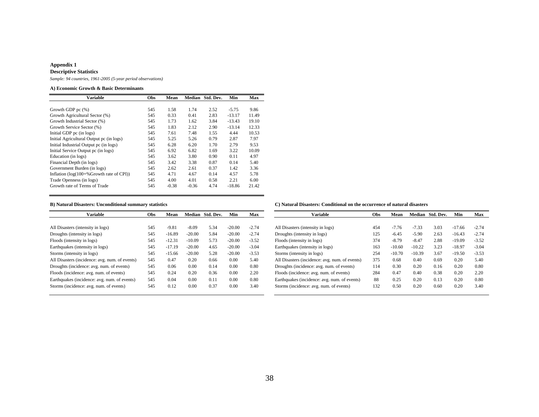#### **Appendix 1 Descriptive Statistics**

*Sample: 94 countries, 1961-2005 (5-year period observations)*

#### **A) Economic Growth & Basic Determinants**

| Obs | Mean    | <b>Median</b> | Std. Dev. | Min      | Max     |
|-----|---------|---------------|-----------|----------|---------|
|     |         |               |           |          |         |
|     |         |               |           |          | 9.86    |
| 545 | 0.33    | 0.41          | 2.83      | $-13.17$ | 11.49   |
| 545 | 1.73    | 1.62          | 3.84      | $-13.43$ | 19.10   |
| 545 | 1.83    | 2.12          | 2.90      | $-13.14$ | 12.33   |
| 545 | 7.61    | 7.48          | 1.55      | 4.44     | 10.53   |
| 545 | 5.25    | 5.26          | 0.79      | 2.87     | 7.97    |
| 545 | 6.28    | 6.20          | 1.70      | 2.79     | 9.53    |
| 545 | 6.92    | 6.82          | 1.69      | 3.22     | 10.09   |
| 545 | 3.62    | 3.80          | 0.90      | 0.11     | 4.97    |
| 545 | 3.42    | 3.38          | 0.87      | 0.14     | 5.40    |
| 545 | 2.62    | 2.61          | 0.37      | 1.42     | 3.36    |
| 545 | 4.71    | 4.67          | 0.14      | 4.57     | 5.78    |
| 545 | 4.00    | 4.01          | 0.58      | 2.21     | 6.00    |
| 545 | $-0.38$ | $-0.36$       | 4.74      | $-18.86$ | 21.42   |
|     | 545     | 1.58          | 1.74      | 2.52     | $-5.75$ |

| Variable                                       | <b>Obs</b> | Mean     |          | Median Std. Dev. | Min      | Max     | <b>Variable</b>                                | <b>Obs</b> | Mean     |          | Median Std. Dev. | Min      | Max     |
|------------------------------------------------|------------|----------|----------|------------------|----------|---------|------------------------------------------------|------------|----------|----------|------------------|----------|---------|
|                                                |            |          |          |                  |          |         |                                                |            |          |          |                  |          |         |
| All Disasters (intensity in logs)              | 545        | $-9.81$  | $-8.09$  | 5.34             | $-20.00$ | $-2.74$ | All Disasters (intensity in logs)              | 454        | $-7.76$  | $-7.33$  | 3.03             | $-17.66$ | $-2.74$ |
| Droughts (intensity in logs)                   | 545        | $-16.89$ | $-20.00$ | 5.84             | $-20.00$ | $-2.74$ | Droughts (intensity in logs)                   | 125        | $-6.45$  | $-5.90$  | 2.63             | $-16.43$ | $-2.74$ |
| Floods (intensity in logs)                     | 545        | $-12.31$ | $-10.09$ | 5.73             | $-20.00$ | $-3.52$ | Floods (intensity in logs)                     | 374        | $-8.79$  | $-8.47$  | 2.88             | $-19.09$ | $-3.52$ |
| Earthquakes (intensity in logs)                | 545        | $-17.19$ | $-20.00$ | 4.65             | $-20.00$ | $-3.04$ | Earthquakes (intensity in logs)                | 163        | $-10.60$ | $-10.22$ | 3.23             | $-18.97$ | $-3.04$ |
| Storms (intensity in logs)                     | 545        | $-15.66$ | $-20.00$ | 5.28             | $-20.00$ | $-3.53$ | Storms (intensity in logs)                     | 254        | $-10.70$ | $-10.39$ | 3.67             | $-19.50$ | $-3.53$ |
| All Disasters (incidence: avg. num. of events) | 545        | 0.47     | 0.20     | 0.66             | 0.00     | 5.40    | All Disasters (incidence: avg. num. of events) | 375        | 0.68     | 0.40     | 0.69             | 0.20     | 5.40    |
| Droughts (incidence: avg. num. of events)      | 545        | 0.06     | 0.00     | 0.14             | 0.00     | 0.80    | Droughts (incidence: avg. num. of events)      | 114        | 0.30     | 0.20     | 0.16             | 0.20     | 0.80    |
| Floods (incidence: avg. num. of events)        | 545        | 0.24     | 0.20     | 0.36             | 0.00     | 2.20    | Floods (incidence: avg. num. of events)        | 284        | 0.47     | 0.40     | 0.38             | 0.20     | 2.20    |
| Earthquakes (incidence: avg. num. of events)   | 545        | 0.04     | 0.00     | 0.11             | 0.00     | 0.80    | Earthquakes (incidence: avg. num. of events)   | 88         | 0.25     | 0.20     | 0.13             | 0.20     | 0.80    |
| Storms (incidence: avg. num. of events)        | 545        | 0.12     | 0.00     | 0.37             | 0.00     | 3.40    | Storms (incidence: avg. num. of events)        | 132        | 0.50     | 0.20     | 0.60             | 0.20     | 3.40    |
|                                                |            |          |          |                  |          |         |                                                |            |          |          |                  |          |         |

#### **B) Natural Disasters: Unconditional summary statistics C) Natural Disasters: Conditional on the occurrence of natural disasters**

| <b>Variable</b>                                | Obs | Mean     | <b>Median</b> | Std. Dev. | Min      | Max     |
|------------------------------------------------|-----|----------|---------------|-----------|----------|---------|
|                                                |     |          |               |           |          |         |
| All Disasters (intensity in logs)              | 454 | $-7.76$  | $-7.33$       | 3.03      | $-17.66$ | $-2.74$ |
| Droughts (intensity in logs)                   | 125 | $-6.45$  | $-5.90$       | 2.63      | $-16.43$ | $-2.74$ |
| Floods (intensity in logs)                     | 374 | $-8.79$  | $-8.47$       | 2.88      | $-19.09$ | $-3.52$ |
| Earthquakes (intensity in logs)                | 163 | $-10.60$ | $-10.22$      | 3.23      | $-18.97$ | $-3.04$ |
| Storms (intensity in logs)                     | 254 | $-10.70$ | $-10.39$      | 3.67      | $-19.50$ | $-3.53$ |
| All Disasters (incidence: avg. num. of events) | 375 | 0.68     | 0.40          | 0.69      | 0.20     | 5.40    |
| Droughts (incidence: avg. num. of events)      | 114 | 0.30     | 0.20          | 0.16      | 0.20     | 0.80    |
| Floods (incidence: avg. num. of events)        | 284 | 0.47     | 0.40          | 0.38      | 0.20     | 2.20    |
| Earthquakes (incidence: avg. num. of events)   | 88  | 0.25     | 0.20          | 0.13      | 0.20     | 0.80    |
| Storms (incidence: avg. num. of events)        | 132 | 0.50     | 0.20          | 0.60      | 0.20     | 3.40    |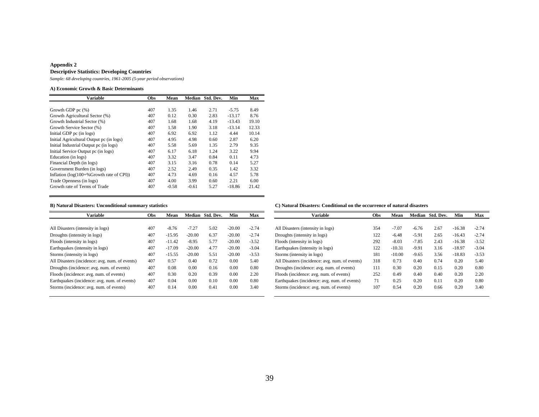#### **Appendix 2 Descriptive Statistics: Developing Countries**

*Sample: 68 developing countries, 1961-2005 (5-year period observations)*

#### **A) Economic Growth & Basic Determinants**

| Obs | Mean    | <b>Median</b> | Std. Dev. | Min      | Max   |
|-----|---------|---------------|-----------|----------|-------|
|     |         |               |           |          |       |
| 407 | 1.35    | 1.46          | 2.71      | $-5.75$  | 8.49  |
| 407 | 0.12    | 0.30          | 2.83      | $-13.17$ | 8.76  |
| 407 | 1.68    | 1.68          | 4.19      | $-13.43$ | 19.10 |
| 407 | 1.58    | 1.90          | 3.18      | $-13.14$ | 12.33 |
| 407 | 6.92    | 6.92          | 1.12      | 4.44     | 10.14 |
| 407 | 4.95    | 4.98          | 0.60      | 2.87     | 6.20  |
| 407 | 5.58    | 5.69          | 1.35      | 2.79     | 9.35  |
| 407 | 6.17    | 6.18          | 1.24      | 3.22     | 9.94  |
| 407 | 3.32    | 3.47          | 0.84      | 0.11     | 4.73  |
| 407 | 3.15    | 3.16          | 0.78      | 0.14     | 5.27  |
| 407 | 2.52    | 2.49          | 0.35      | 1.42     | 3.32  |
| 407 | 4.73    | 4.69          | 0.16      | 4.57     | 5.78  |
| 407 | 4.00    | 3.99          | 0.60      | 2.21     | 6.00  |
| 407 | $-0.58$ | $-0.61$       | 5.27      | $-18.86$ | 21.42 |
|     |         |               |           |          |       |

| <b>Variable</b>                                | Obs | Mean     |          | Median Std. Dev. | Min      | Max     | <b>Variable</b>                                | Obs | Mean     |         | Median Std. Dev. | Min      | Max     |
|------------------------------------------------|-----|----------|----------|------------------|----------|---------|------------------------------------------------|-----|----------|---------|------------------|----------|---------|
|                                                |     |          |          |                  |          |         |                                                |     |          |         |                  |          |         |
| All Disasters (intensity in logs)              | 407 | $-8.76$  | $-7.27$  | 5.02             | $-20.00$ | $-2.74$ | All Disasters (intensity in logs)              | 354 | $-7.07$  | $-6.76$ | 2.67             | $-16.38$ | $-2.74$ |
| Droughts (intensity in logs)                   | 407 | $-15.95$ | $-20.00$ | 6.37             | $-20.00$ | $-2.74$ | Droughts (intensity in logs)                   | 122 | $-6.48$  | $-5.91$ | 2.65             | $-16.43$ | $-2.74$ |
| Floods (intensity in logs)                     | 407 | $-11.42$ | $-8.95$  | 5.77             | $-20.00$ | $-3.52$ | Floods (intensity in logs)                     | 292 | $-8.03$  | $-7.85$ | 2.43             | $-16.38$ | $-3.52$ |
| Earthquakes (intensity in logs)                | 407 | $-17.09$ | $-20.00$ | 4.77             | $-20.00$ | $-3.04$ | Earthquakes (intensity in logs)                | 122 | $-10.31$ | $-9.91$ | 3.16             | $-18.97$ | $-3.04$ |
| Storms (intensity in logs)                     | 407 | $-15.55$ | $-20.00$ | 5.51             | $-20.00$ | $-3.53$ | Storms (intensity in logs)                     | 181 | $-10.00$ | $-9.65$ | 3.56             | $-18.83$ | $-3.53$ |
| All Disasters (incidence: avg. num. of events) | 407 | 0.57     | 0.40     | 0.72             | 0.00     | 5.40    | All Disasters (incidence: avg. num. of events) | 318 | 0.73     | 0.40    | 0.74             | 0.20     | 5.40    |
| Droughts (incidence: avg. num. of events)      | 407 | 0.08     | 0.00     | 0.16             | 0.00     | 0.80    | Droughts (incidence: avg. num. of events)      | 111 | 0.30     | 0.20    | 0.15             | 0.20     | 0.80    |
| Floods (incidence: avg. num. of events)        | 407 | 0.30     | 0.20     | 0.39             | 0.00     | 2.20    | Floods (incidence: avg. num. of events)        | 252 | 0.49     | 0.40    | 0.40             | 0.20     | 2.20    |
| Earthquakes (incidence: avg. num. of events)   | 407 | 0.04     | 0.00     | 0.10             | 0.00     | 0.80    | Earthquakes (incidence: avg. num. of events)   | 71  | 0.25     | 0.20    | 0.11             | 0.20     | 0.80    |
| Storms (incidence: avg. num. of events)        | 407 | 0.14     | 0.00     | 0.41             | 0.00     | 3.40    | Storms (incidence: avg. num. of events)        | 107 | 0.54     | 0.20    | 0.66             | 0.20     | 3.40    |

#### **B) Natural Disasters: Unconditional summary statistics C) Natural Disasters: Conditional on the occurrence of natural disasters**

| <b>Variable</b>                                | Obs | Mean     |         | Median Std. Dev. | Min      | Max     |  |
|------------------------------------------------|-----|----------|---------|------------------|----------|---------|--|
| All Disasters (intensity in logs)              | 354 | $-7.07$  | $-6.76$ | 2.67             | $-16.38$ | $-2.74$ |  |
| Droughts (intensity in logs)                   | 122 | $-6.48$  | $-5.91$ | 2.65             | $-16.43$ | $-2.74$ |  |
| Floods (intensity in logs)                     | 292 | $-8.03$  | $-7.85$ | 2.43             | $-16.38$ | $-3.52$ |  |
| Earthquakes (intensity in logs)                | 122 | $-10.31$ | $-9.91$ | 3.16             | $-18.97$ | $-3.04$ |  |
| Storms (intensity in logs)                     | 181 | $-10.00$ | $-9.65$ | 3.56             | $-18.83$ | $-3.53$ |  |
| All Disasters (incidence: avg. num. of events) | 318 | 0.73     | 0.40    | 0.74             | 0.20     | 5.40    |  |
| Droughts (incidence: avg. num. of events)      | 111 | 0.30     | 0.20    | 0.15             | 0.20     | 0.80    |  |
| Floods (incidence: avg. num. of events)        | 252 | 0.49     | 0.40    | 0.40             | 0.20     | 2.20    |  |
| Earthquakes (incidence: avg. num. of events)   | 71  | 0.25     | 0.20    | 0.11             | 0.20     | 0.80    |  |
| Storms (incidence: avg. num. of events)        | 107 | 0.54     | 0.20    | 0.66             | 0.20     | 3.40    |  |